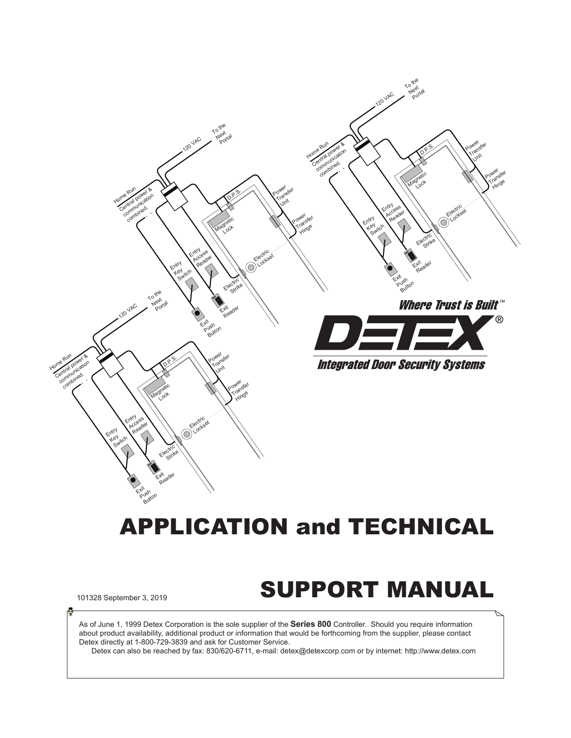

# APPLICATION and TECHNICAL

# 101328 September 3, 2019 **SUPPORT MANUAL**

As of June 1, 1999 Detex Corporation is the sole supplier of the **Series 800** Controller. Should you require information about product availability, additional product or information that would be forthcoming from the supplier, please contact Detex directly at 1-800-729-3839 and ask for Customer Service.

Detex can also be reached by fax: 830/620-6711, e-mail: detex@detexcorp.com or by internet: http://www.detex.com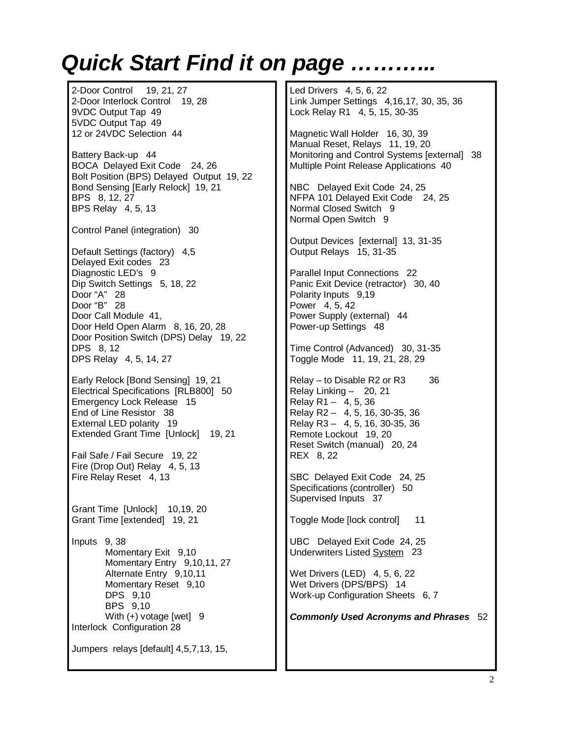# **Quick Start Find it on page ...**

2-Door Control 19, 21, 27 2-Door Interlock Control 19, 28 9VDC Output Tap 49 5VDC Output Tap 49 12 or 24VDC Selection 44 Battery Back-up 44 BOCA Delayed Exit Code 24, 26 Bolt Position (BPS) Delayed Output 19, 22 Bond Sensing [Early Relock] 19, 21 BPS 8, 12, 27 BPS Relay 4, 5, 13 Control Panel (integration) 30 Default Settings (factory) 4,5 Delayed Exit codes 23 Diagnostic LED's 9 Dip Switch Settings 5, 18, 22 Door "A" 28 Door "B" 28 Door Call Module 41, Door Held Open Alarm 8, 16, 20, 28 Door Position Switch (DPS) Delay 19, 22 DPS 8, 12 DPS Relay 4, 5, 14, 27 Early Relock [Bond Sensing] 19, 21 Electrical Specifications [RLB800] 50 Emergency Lock Release 15 End of Line Resistor 38 External LED polarity 19 Extended Grant Time [Unlock] 19, 21 Fail Safe / Fail Secure 19, 22 Fire (Drop Out) Relay 4, 5, 13 Fire Relay Reset 4, 13 Grant Time [Unlock] 10,19, 20 Grant Time [extended] 19, 21 Inputs 9, 38 Momentary Exit 9,10 Momentary Entry 9,10,11, 27 Alternate Entry 9,10,11 Momentary Reset 9,10 DPS 9,10 BPS 9,10 With (+) votage [wet] 9 Interlock Configuration 28 Jumpers relays [default] 4,5,7,13, 15, Led Drivers 4, 5, 6, 22 Link Jumper Settings 4,16,17, 30, 35, 36 Lock Relay R1 4, 5, 15, 30-35 Magnetic Wall Holder 16, 30, 39 Manual Reset, Relays 11, 19, 20 Monitoring and Control Systems [external] 38 Multiple Point Release Applications 40 NBC Delayed Exit Code 24, 25 NFPA 101 Delayed Exit Code 24, 25 Normal Closed Switch 9 Normal Open Switch 9 Output Devices [external] 13, 31-35 Output Relays 15, 31-35 Parallel Input Connections 22 Panic Exit Device (retractor) 30, 40 Polarity Inputs 9,19 Power 4, 5, 42 Power Supply (external) 44 Power-up Settings 48 Time Control (Advanced) 30, 31-35 Toggle Mode 11, 19, 21, 28, 29 Relay – to Disable R2 or R3 36 Relay Linking – 20, 21 Relay R1  $-$  4, 5, 36 Relay R2 – 4, 5, 16, 30-35, 36 Relay R3 – 4, 5, 16, 30-35, 36 Remote Lockout 19, 20 Reset Switch (manual) 20, 24 REX 8, 22 SBC Delayed Exit Code 24, 25 Specifications (controller) 50 Supervised Inputs 37 Toggle Mode [lock control] 11 UBC Delayed Exit Code 24, 25 Underwriters Listed System 23 Wet Drivers (LED) 4, 5, 6, 22 Wet Drivers (DPS/BPS) 14 Work-up Configuration Sheets 6, 7 *Commonly Used Acronyms and Phrases* 52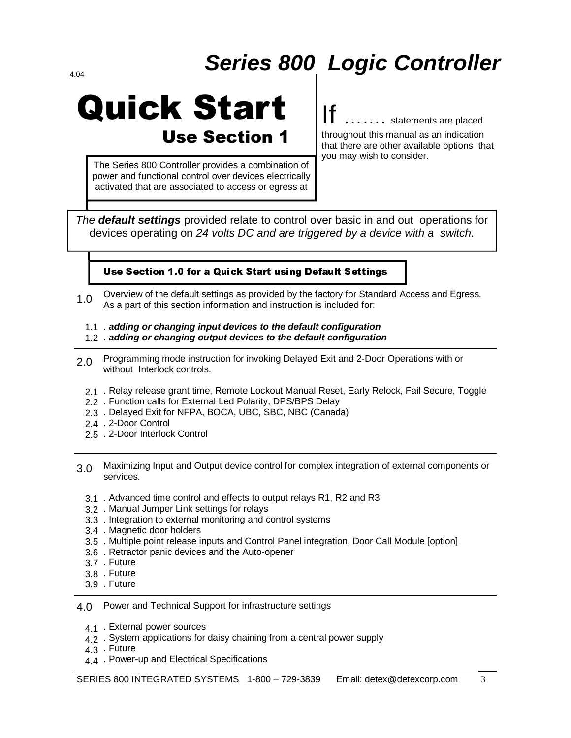# *Series 800 Logic Controller* 4.04

# **Quick Start Use Section 1**

The Series 800 Controller provides a combination of power and functional control over devices electrically activated that are associated to access or egress at

.... statements are placed throughout this manual as an indication that there are other available options that you may wish to consider.

*The default settings* provided relate to control over basic in and out operations for devices operating on *24 volts DC and are triggered by a device with a switch.* 

#### Use Section 1.0 for a Quick Start using Default Settings

- Overview of the default settings as provided by the factory for Standard Access and Egress. As a part of this section information and instruction is included for: 1.0
	- . *adding or changing input devices to the default configuration* 1.1
	- . *adding or changing output devices to the default configuration* 1.2
- Programming mode instruction for invoking Delayed Exit and 2-Door Operations with or without Interlock controls. 2.0
	- 2.1 . Relay release grant time, Remote Lockout Manual Reset, Early Relock, Fail Secure, Toggle
	- . Function calls for External Led Polarity, DPS/BPS Delay 2.2
	- . Delayed Exit for NFPA, BOCA, UBC, SBC, NBC (Canada) 2.3
	- 2.4 . 2-Door Control
	- 2.5 . 2-Door Interlock Control
- Maximizing Input and Output device control for complex integration of external components or services. 3.0
	- . Advanced time control and effects to output relays R1, R2 and R3 3.1
	- . Manual Jumper Link settings for relays 3.2
	- . Integration to external monitoring and control systems 3.3
	- . Magnetic door holders 3.4
	- . Multiple point release inputs and Control Panel integration, Door Call Module [option] 3.5
	- . Retractor panic devices and the Auto-opener 3.6
	- 3.7 . Future
	- 3.8 . Future
	- 3.9 . Future

Power and Technical Support for infrastructure settings 4.0

- 4.1 . External power sources
- 4.2 System applications for daisy chaining from a central power supply
- 4.3 . Future
- 4.4 Power-up and Electrical Specifications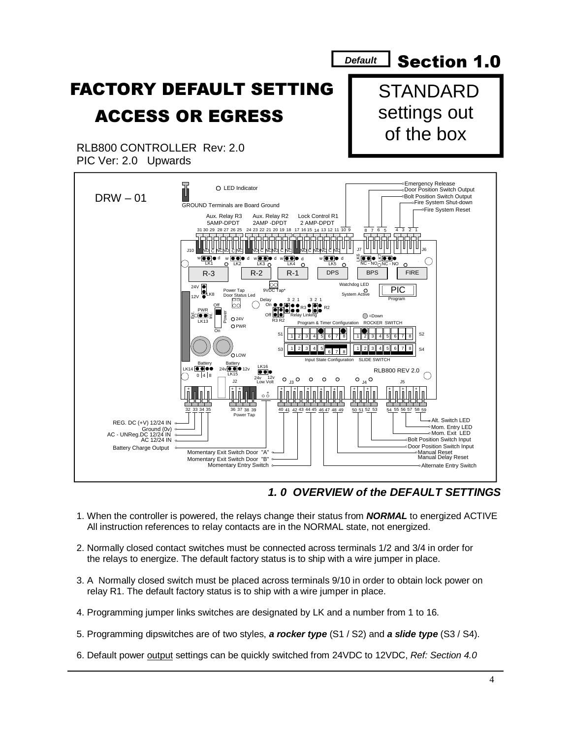

#### *1. 0 OVERVIEW of the DEFAULT SETTINGS*

- 1. When the controller is powered, the relays change their status from *NORMAL* to energized ACTIVE All instruction references to relay contacts are in the NORMAL state, not energized.
- 2. Normally closed contact switches must be connected across terminals 1/2 and 3/4 in order for the relays to energize. The default factory status is to ship with a wire jumper in place.
- 3. A Normally closed switch must be placed across terminals 9/10 in order to obtain lock power on relay R1. The default factory status is to ship with a wire jumper in place.
- 4. Programming jumper links switches are designated by LK and a number from 1 to 16.
- 5. Programming dipswitches are of two styles, *a rocker type* (S1 / S2) and *a slide type* (S3 / S4).
- 6. Default power output settings can be quickly switched from 24VDC to 12VDC, *Ref: Section 4.0*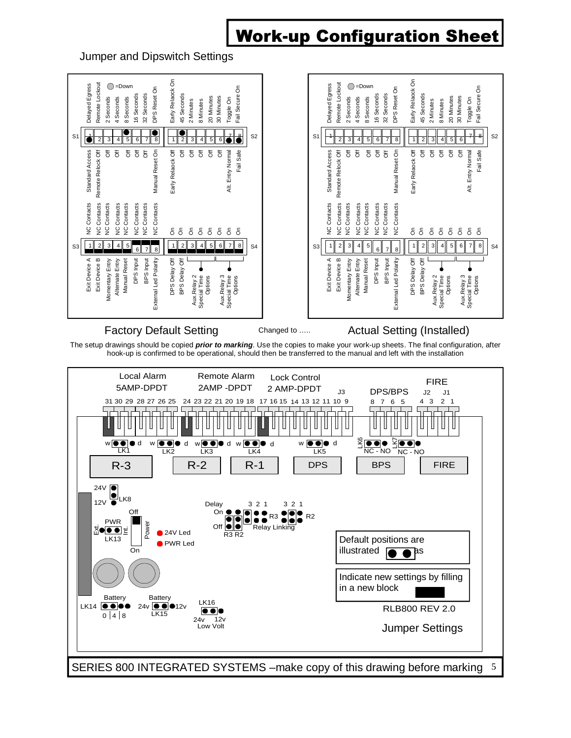### **Work-up Configuration Sheet**

Jumper and Dipswitch Settings



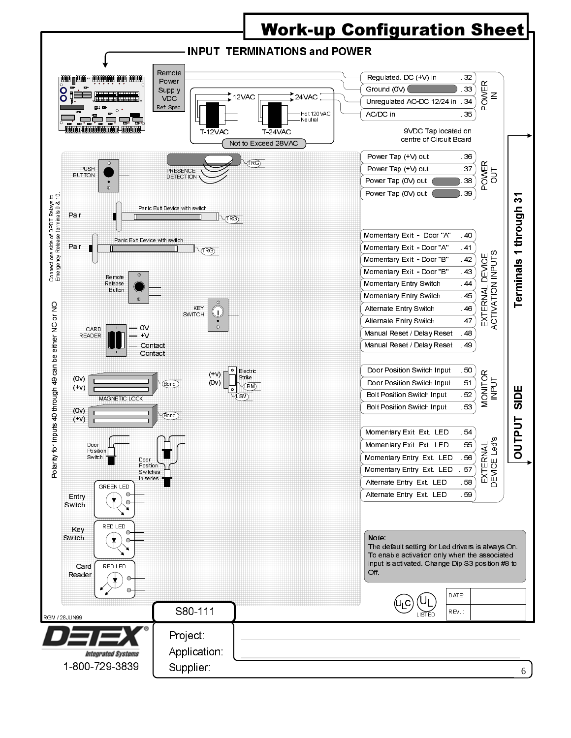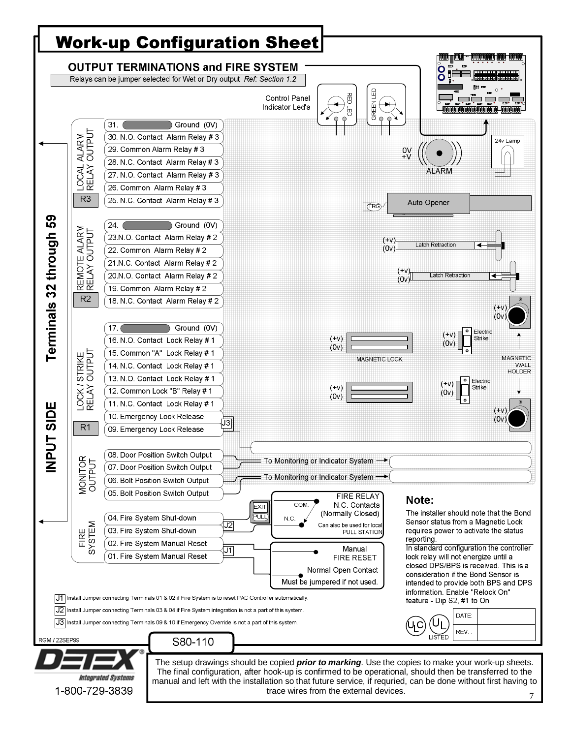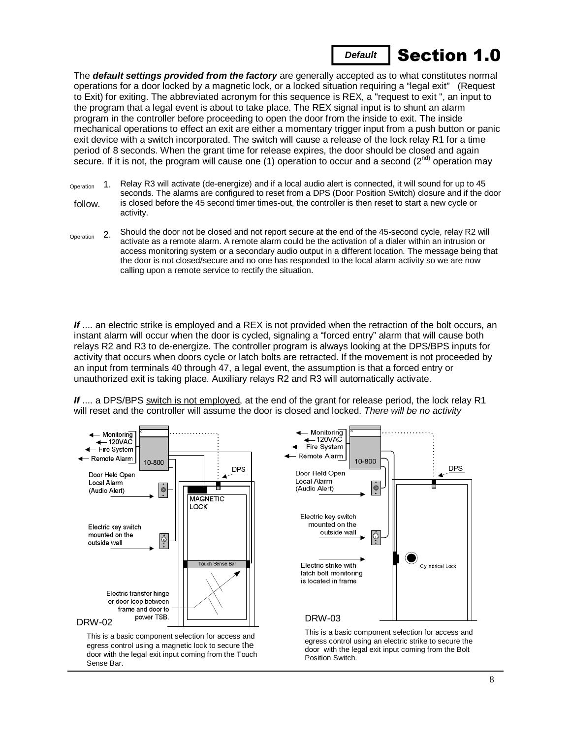

The *default settings provided from the factory* are generally accepted as to what constitutes normal operations for a door locked by a magnetic lock, or a locked situation requiring a "legal exit" (Request to Exit) for exiting. The abbreviated acronym for this sequence is REX, a "request to exit ", an input to the program that a legal event is about to take place. The REX signal input is to shunt an alarm program in the controller before proceeding to open the door from the inside to exit. The inside mechanical operations to effect an exit are either a momentary trigger input from a push button or panic exit device with a switch incorporated. The switch will cause a release of the lock relay R1 for a time period of 8 seconds. When the grant time for release expires, the door should be closed and again secure. If it is not, the program will cause one (1) operation to occur and a second ( $2^{nd}$ ) operation may

- follow. 1. Relay R3 will activate (de-energize) and if a local audio alert is connected, it will sound for up to 45 seconds. The alarms are configured to reset from a DPS (Door Position Switch) closure and if the door is closed before the 45 second timer times-out, the controller is then reset to start a new cycle or activity. Operation
- 2. Should the door not be closed and not report secure at the end of the 45-second cycle, relay R2 will activate as a remote alarm. A remote alarm could be the activation of a dialer within an intrusion or access monitoring system or a secondary audio output in a different location. The message being that the door is not closed/secure and no one has responded to the local alarm activity so we are now calling upon a remote service to rectify the situation. Operation

If .... an electric strike is employed and a REX is not provided when the retraction of the bolt occurs, an instant alarm will occur when the door is cycled, signaling a "forced entry" alarm that will cause both relays R2 and R3 to de-energize. The controller program is always looking at the DPS/BPS inputs for activity that occurs when doors cycle or latch bolts are retracted. If the movement is not proceeded by an input from terminals 40 through 47, a legal event, the assumption is that a forced entry or unauthorized exit is taking place. Auxiliary relays R2 and R3 will automatically activate.

If .... a DPS/BPS switch is not employed, at the end of the grant for release period, the lock relay R1 will reset and the controller will assume the door is closed and locked. *There will be no activity* 

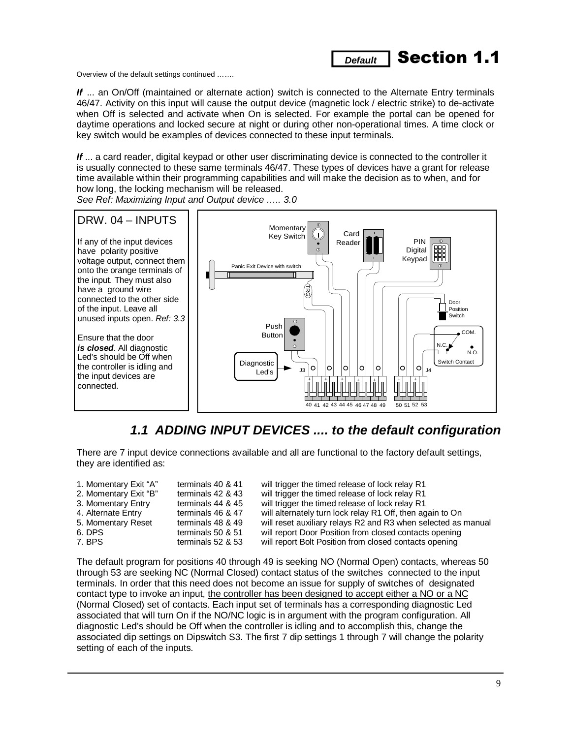Overview of the default settings continued …….

*If* ... an On/Off (maintained or alternate action) switch is connected to the Alternate Entry terminals 46/47. Activity on this input will cause the output device (magnetic lock / electric strike) to de-activate when Off is selected and activate when On is selected. For example the portal can be opened for daytime operations and locked secure at night or during other non-operational times. A time clock or key switch would be examples of devices connected to these input terminals.

**Default** Section 1.1

*If* ... a card reader, digital keypad or other user discriminating device is connected to the controller it is usually connected to these same terminals 46/47. These types of devices have a grant for release time available within their programming capabilities and will make the decision as to when, and for how long, the locking mechanism will be released.

*See Ref: Maximizing Input and Output device ….. 3.0* 



### *1.1 ADDING INPUT DEVICES .... to the default configuration*

There are 7 input device connections available and all are functional to the factory default settings, they are identified as:

| 1. Momentary Exit "A" | terminals 40 & 41 | will trigger the timed release of lock relay R1               |
|-----------------------|-------------------|---------------------------------------------------------------|
| 2. Momentary Exit "B" | terminals 42 & 43 | will trigger the timed release of lock relay R1               |
| 3. Momentary Entry    | terminals 44 & 45 | will trigger the timed release of lock relay R1               |
| 4. Alternate Entry    | terminals 46 & 47 | will alternately turn lock relay R1 Off, then again to On     |
| 5. Momentary Reset    | terminals 48 & 49 | will reset auxiliary relays R2 and R3 when selected as manual |
| 6. DPS                | terminals 50 & 51 | will report Door Position from closed contacts opening        |
| 7. BPS                | terminals 52 & 53 | will report Bolt Position from closed contacts opening        |

The default program for positions 40 through 49 is seeking NO (Normal Open) contacts, whereas 50 through 53 are seeking NC (Normal Closed) contact status of the switches connected to the input terminals. In order that this need does not become an issue for supply of switches of designated contact type to invoke an input, the controller has been designed to accept either a NO or a NC (Normal Closed) set of contacts. Each input set of terminals has a corresponding diagnostic Led associated that will turn On if the NO/NC logic is in argument with the program configuration. All diagnostic Led's should be Off when the controller is idling and to accomplish this, change the associated dip settings on Dipswitch S3. The first 7 dip settings 1 through 7 will change the polarity setting of each of the inputs.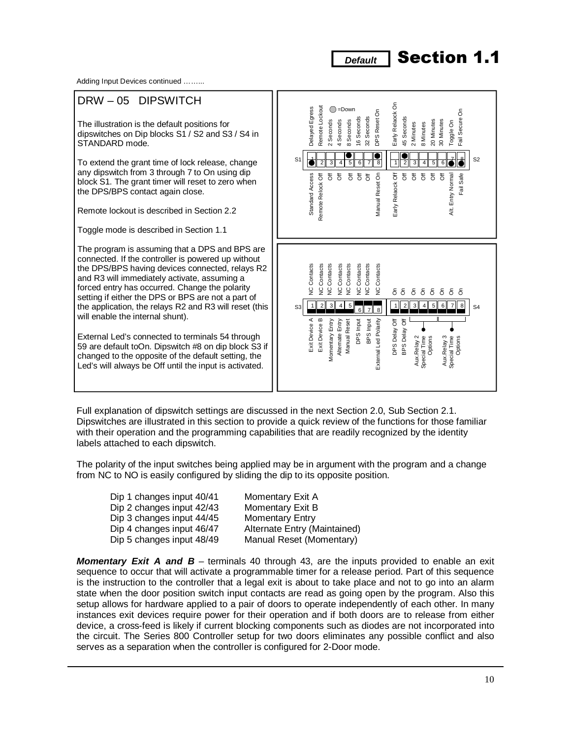Adding Input Devices continued ……...

#### DRW – 05 DIPSWITCH Early Relaock On Early Relaock On Remote Lockout Delayed Egress Remote Lockout  $\bigcirc$ =Down Delayed Egress  $\delta$ DPS Reset On DPS Reset On Fail Secure On Seconds Seconds 16 Seconds 32 Seconds 45 Seconds 45 Seconds Secure 2 Seconds 4 Seconds 8 Seconds 20 Minutes Minutes 20 Minutes 30 Minutes The illustration is the default positions for 2 Seconds 4 Seconds 8 Seconds 2 Minutes 8 Minutes Toggle On 2 Minutes 8 Minutes dipswitches on Dip blocks S1 / S2 and S3 / S4 in Fail STANDARD mode.  $\frac{6}{2}$  $\tilde{3}$  $\overline{5}$  $S1$   $3$   $4$   $5$   $6$   $7$   $8$   $7$   $3$   $4$   $5$   $6$   $7$   $8$ To extend the grant time of lock release, change  $56$ any dipswitch from 3 through 7 to On using dip Standard Access  $\overline{\sigma}$ Remote Relock Off  $\overline{\delta}$  $\overline{5}$  $\overline{\overline{5}}$ Manual Reset On  $\bar{5}$  $\bar{5}$  $\bar{5}$  $\overline{5}$  $\overline{\sigma}$ Entry Normal Fail Safe Standard Access Remote Relock Off ర్ ర్ Manual Reset On Early Relaock Off Alt. Entry Normal block S1. The grant timer will reset to zero when Early Relaock the DPS/BPS contact again close. Remote lockout is described in Section 2.2 Αlt. Toggle mode is described in Section 1.1 The program is assuming that a DPS and BPS are connected. If the controller is powered up without the DPS/BPS having devices connected, relays R2 Extribuyes A<br>
Le Mondenant<br>
Momentary Empress Properties<br>
Manual Reset Inc. Contrasts<br>
Manual Reset Inc. The Condense<br>
Manual Reset Inc. The Condense<br>
DPS Dealby DE DES Dealby OF The Condense<br>
DPS Dealby Of The Condense<br>
D and R3 will immediately activate, assuming a forced entry has occurred. Change the polarity setting if either the DPS or BPS are not a part of S3 1 2 3 4 5 6 7 8 1 2 3 4 5 6 7 8 54 the application, the relays R2 and R3 will reset (this will enable the internal shunt). External Led's connected to terminals 54 through 59 are default toOn. Dipswitch #8 on dip block S3 if changed to the opposite of the default setting, the Led's will always be Off until the input is activated.

Full explanation of dipswitch settings are discussed in the next Section 2.0, Sub Section 2.1. Dipswitches are illustrated in this section to provide a quick review of the functions for those familiar with their operation and the programming capabilities that are readily recognized by the identity labels attached to each dipswitch.

The polarity of the input switches being applied may be in argument with the program and a change from NC to NO is easily configured by sliding the dip to its opposite position.

| Dip 1 changes input 40/41 | Momentary Exit A             |
|---------------------------|------------------------------|
| Dip 2 changes input 42/43 | <b>Momentary Exit B</b>      |
| Dip 3 changes input 44/45 | <b>Momentary Entry</b>       |
| Dip 4 changes input 46/47 | Alternate Entry (Maintained) |
| Dip 5 changes input 48/49 | Manual Reset (Momentary)     |

**Momentary Exit A and B** – terminals 40 through 43, are the inputs provided to enable an exit sequence to occur that will activate a programmable timer for a release period. Part of this sequence is the instruction to the controller that a legal exit is about to take place and not to go into an alarm state when the door position switch input contacts are read as going open by the program. Also this setup allows for hardware applied to a pair of doors to operate independently of each other. In many instances exit devices require power for their operation and if both doors are to release from either device, a cross-feed is likely if current blocking components such as diodes are not incorporated into the circuit. The Series 800 Controller setup for two doors eliminates any possible conflict and also serves as a separation when the controller is configured for 2-Door mode.

### **Default** Section 1.1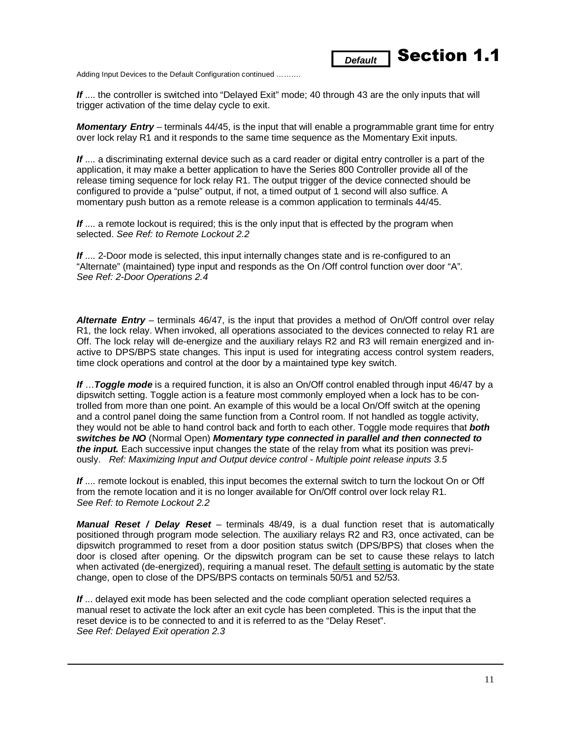Adding Input Devices to the Default Configuration continued ……….

*If* .... the controller is switched into "Delayed Exit" mode; 40 through 43 are the only inputs that will trigger activation of the time delay cycle to exit.

**Default** Section 1.1

*Momentary Entry* – terminals 44/45, is the input that will enable a programmable grant time for entry over lock relay R1 and it responds to the same time sequence as the Momentary Exit inputs.

*If* .... a discriminating external device such as a card reader or digital entry controller is a part of the application, it may make a better application to have the Series 800 Controller provide all of the release timing sequence for lock relay R1. The output trigger of the device connected should be configured to provide a "pulse" output, if not, a timed output of 1 second will also suffice. A momentary push button as a remote release is a common application to terminals 44/45.

**If** .... a remote lockout is required; this is the only input that is effected by the program when selected. *See Ref: to Remote Lockout 2.2* 

*If* .... 2-Door mode is selected, this input internally changes state and is re-configured to an "Alternate" (maintained) type input and responds as the On /Off control function over door "A". *See Ref: 2-Door Operations 2.4* 

*Alternate Entry* – terminals 46/47, is the input that provides a method of On/Off control over relay R1, the lock relay. When invoked, all operations associated to the devices connected to relay R1 are Off. The lock relay will de-energize and the auxiliary relays R2 and R3 will remain energized and inactive to DPS/BPS state changes. This input is used for integrating access control system readers, time clock operations and control at the door by a maintained type key switch.

*If* …*Toggle mode* is a required function, it is also an On/Off control enabled through input 46/47 by a dipswitch setting. Toggle action is a feature most commonly employed when a lock has to be controlled from more than one point. An example of this would be a local On/Off switch at the opening and a control panel doing the same function from a Control room. If not handled as toggle activity, they would not be able to hand control back and forth to each other. Toggle mode requires that *both switches be NO* (Normal Open) *Momentary type connected in parallel and then connected to the input.* Each successive input changes the state of the relay from what its position was previously. *Ref: Maximizing Input and Output device control - Multiple point release inputs 3.5* 

*If* .... remote lockout is enabled, this input becomes the external switch to turn the lockout On or Off from the remote location and it is no longer available for On/Off control over lock relay R1. *See Ref: to Remote Lockout 2.2* 

*Manual Reset / Delay Reset* – terminals 48/49, is a dual function reset that is automatically positioned through program mode selection. The auxiliary relays R2 and R3, once activated, can be dipswitch programmed to reset from a door position status switch (DPS/BPS) that closes when the door is closed after opening. Or the dipswitch program can be set to cause these relays to latch when activated (de-energized), requiring a manual reset. The default setting is automatic by the state change, open to close of the DPS/BPS contacts on terminals 50/51 and 52/53.

*If* ... delayed exit mode has been selected and the code compliant operation selected requires a manual reset to activate the lock after an exit cycle has been completed. This is the input that the reset device is to be connected to and it is referred to as the "Delay Reset". *See Ref: Delayed Exit operation 2.3*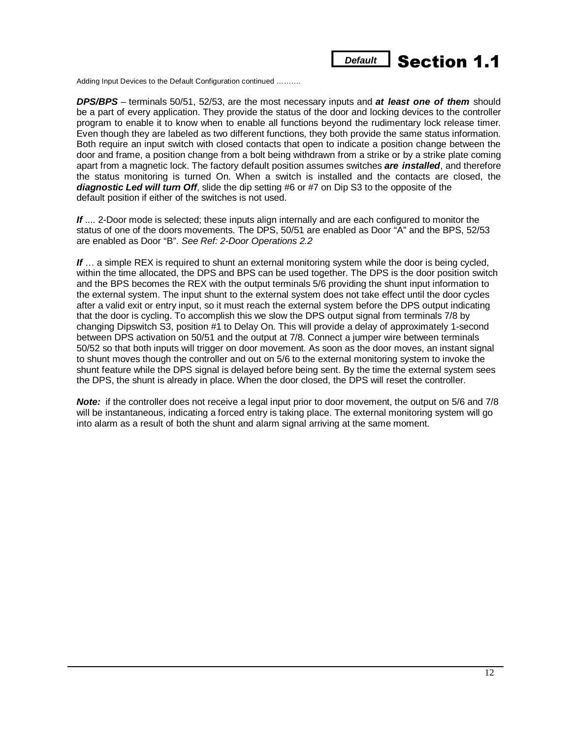

Adding Input Devices to the Default Configuration continued ……….

*DPS/BPS* – terminals 50/51, 52/53, are the most necessary inputs and *at least one of them* should be a part of every application. They provide the status of the door and locking devices to the controller program to enable it to know when to enable all functions beyond the rudimentary lock release timer. Even though they are labeled as two different functions, they both provide the same status information. Both require an input switch with closed contacts that open to indicate a position change between the door and frame, a position change from a bolt being withdrawn from a strike or by a strike plate coming apart from a magnetic lock. The factory default position assumes switches *are installed*, and therefore the status monitoring is turned On. When a switch is installed and the contacts are closed, the *diagnostic Led will turn Off*, slide the dip setting #6 or #7 on Dip S3 to the opposite of the default position if either of the switches is not used.

*If* .... 2-Door mode is selected; these inputs align internally and are each configured to monitor the status of one of the doors movements. The DPS, 50/51 are enabled as Door "A" and the BPS, 52/53 are enabled as Door "B". *See Ref: 2-Door Operations 2.2* 

If ... a simple REX is required to shunt an external monitoring system while the door is being cycled, within the time allocated, the DPS and BPS can be used together. The DPS is the door position switch and the BPS becomes the REX with the output terminals 5/6 providing the shunt input information to the external system. The input shunt to the external system does not take effect until the door cycles after a valid exit or entry input, so it must reach the external system before the DPS output indicating that the door is cycling. To accomplish this we slow the DPS output signal from terminals 7/8 by changing Dipswitch S3, position #1 to Delay On. This will provide a delay of approximately 1-second between DPS activation on 50/51 and the output at 7/8. Connect a jumper wire between terminals 50/52 so that both inputs will trigger on door movement. As soon as the door moves, an instant signal to shunt moves though the controller and out on 5/6 to the external monitoring system to invoke the shunt feature while the DPS signal is delayed before being sent. By the time the external system sees the DPS, the shunt is already in place. When the door closed, the DPS will reset the controller.

*Note:* if the controller does not receive a legal input prior to door movement, the output on 5/6 and 7/8 will be instantaneous, indicating a forced entry is taking place. The external monitoring system will go into alarm as a result of both the shunt and alarm signal arriving at the same moment.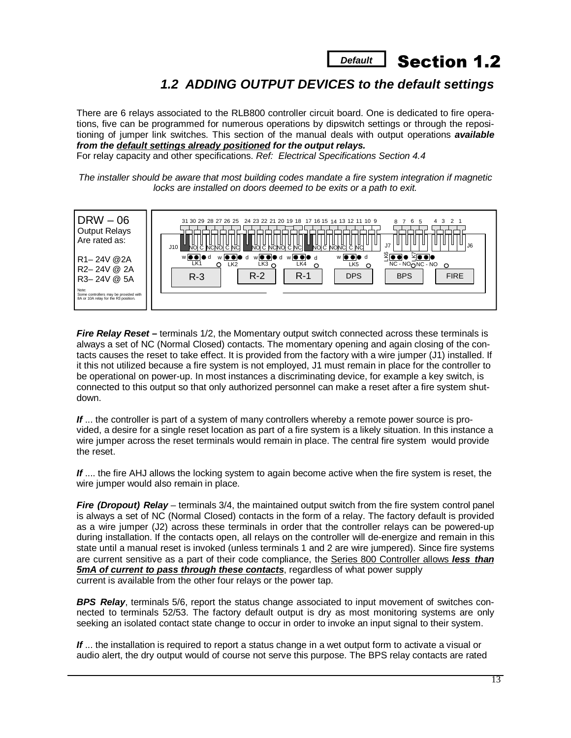

### *1.2 ADDING OUTPUT DEVICES to the default settings*

There are 6 relays associated to the RLB800 controller circuit board. One is dedicated to fire operations, five can be programmed for numerous operations by dipswitch settings or through the repositioning of jumper link switches. This section of the manual deals with output operations *available from the default settings already positioned for the output relays.*

For relay capacity and other specifications. *Ref: Electrical Specifications Section 4.4* 

*The installer should be aware that most building codes mandate a fire system integration if magnetic locks are installed on doors deemed to be exits or a path to exit.* 



*Fire Relay Reset –* terminals 1/2, the Momentary output switch connected across these terminals is always a set of NC (Normal Closed) contacts. The momentary opening and again closing of the contacts causes the reset to take effect. It is provided from the factory with a wire jumper (J1) installed. If it this not utilized because a fire system is not employed, J1 must remain in place for the controller to be operational on power-up. In most instances a discriminating device, for example a key switch, is connected to this output so that only authorized personnel can make a reset after a fire system shutdown.

If ... the controller is part of a system of many controllers whereby a remote power source is provided, a desire for a single reset location as part of a fire system is a likely situation. In this instance a wire jumper across the reset terminals would remain in place. The central fire system would provide the reset.

*If* .... the fire AHJ allows the locking system to again become active when the fire system is reset, the wire jumper would also remain in place.

*Fire (Dropout) Relay* – terminals 3/4, the maintained output switch from the fire system control panel is always a set of NC (Normal Closed) contacts in the form of a relay. The factory default is provided as a wire jumper (J2) across these terminals in order that the controller relays can be powered-up during installation. If the contacts open, all relays on the controller will de-energize and remain in this state until a manual reset is invoked (unless terminals 1 and 2 are wire jumpered). Since fire systems are current sensitive as a part of their code compliance, the Series 800 Controller allows *less than 5mA of current to pass through these contacts*, regardless of what power supply current is available from the other four relays or the power tap.

*BPS Relay*, terminals 5/6, report the status change associated to input movement of switches connected to terminals 52/53. The factory default output is dry as most monitoring systems are only seeking an isolated contact state change to occur in order to invoke an input signal to their system.

*If* ... the installation is required to report a status change in a wet output form to activate a visual or audio alert, the dry output would of course not serve this purpose. The BPS relay contacts are rated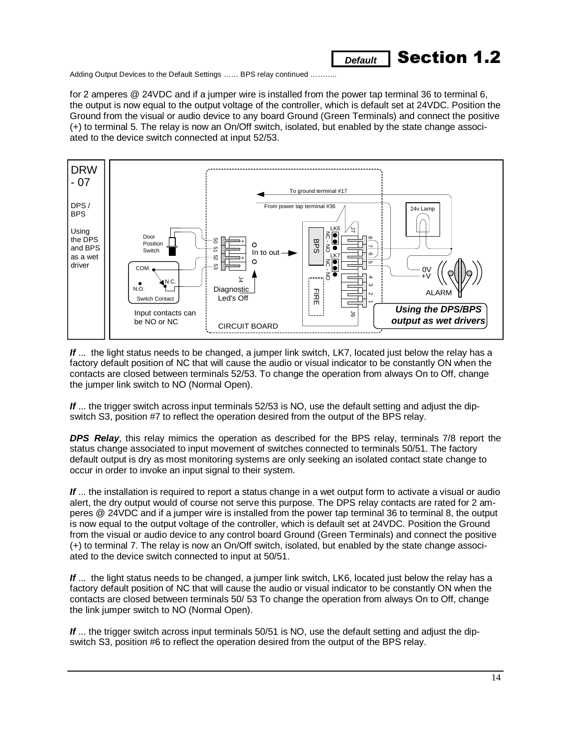

Adding Output Devices to the Default Settings ...... BPS relay continued ..........

for 2 amperes @ 24VDC and if a jumper wire is installed from the power tap terminal 36 to terminal 6, the output is now equal to the output voltage of the controller, which is default set at 24VDC. Position the Ground from the visual or audio device to any board Ground (Green Terminals) and connect the positive (+) to terminal 5. The relay is now an On/Off switch, isolated, but enabled by the state change associated to the device switch connected at input 52/53.



If ... the light status needs to be changed, a jumper link switch, LK7, located just below the relay has a factory default position of NC that will cause the audio or visual indicator to be constantly ON when the contacts are closed between terminals 52/53. To change the operation from always On to Off, change the jumper link switch to NO (Normal Open).

If ... the trigger switch across input terminals 52/53 is NO, use the default setting and adjust the dipswitch S3, position #7 to reflect the operation desired from the output of the BPS relay.

*DPS Relay*, this relay mimics the operation as described for the BPS relay, terminals 7/8 report the status change associated to input movement of switches connected to terminals 50/51. The factory default output is dry as most monitoring systems are only seeking an isolated contact state change to occur in order to invoke an input signal to their system.

*If* ... the installation is required to report a status change in a wet output form to activate a visual or audio alert, the dry output would of course not serve this purpose. The DPS relay contacts are rated for 2 amperes @ 24VDC and if a jumper wire is installed from the power tap terminal 36 to terminal 8, the output is now equal to the output voltage of the controller, which is default set at 24VDC. Position the Ground from the visual or audio device to any control board Ground (Green Terminals) and connect the positive (+) to terminal 7. The relay is now an On/Off switch, isolated, but enabled by the state change associated to the device switch connected to input at 50/51.

If ... the light status needs to be changed, a jumper link switch, LK6, located just below the relay has a factory default position of NC that will cause the audio or visual indicator to be constantly ON when the contacts are closed between terminals 50/ 53 To change the operation from always On to Off, change the link jumper switch to NO (Normal Open).

If ... the trigger switch across input terminals 50/51 is NO, use the default setting and adjust the dipswitch S3, position #6 to reflect the operation desired from the output of the BPS relay.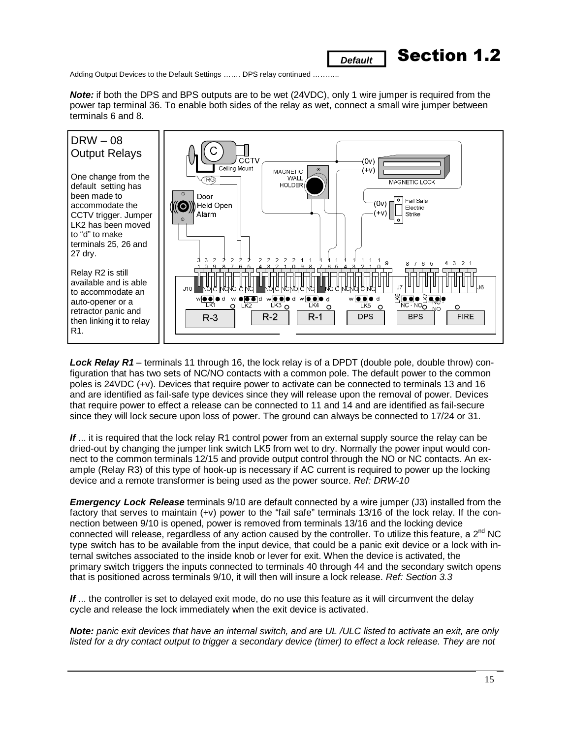Adding Output Devices to the Default Settings ....... DPS relay continued ..........

*Note:* if both the DPS and BPS outputs are to be wet (24VDC), only 1 wire jumper is required from the power tap terminal 36. To enable both sides of the relay as wet, connect a small wire jumper between terminals 6 and 8.

**Default 7 Section 1.2** 



*Lock Relay R1* – terminals 11 through 16, the lock relay is of a DPDT (double pole, double throw) configuration that has two sets of NC/NO contacts with a common pole. The default power to the common poles is 24VDC (+v). Devices that require power to activate can be connected to terminals 13 and 16 and are identified as fail-safe type devices since they will release upon the removal of power. Devices that require power to effect a release can be connected to 11 and 14 and are identified as fail-secure since they will lock secure upon loss of power. The ground can always be connected to 17/24 or 31.

If ... it is required that the lock relay R1 control power from an external supply source the relay can be dried-out by changing the jumper link switch LK5 from wet to dry. Normally the power input would connect to the common terminals 12/15 and provide output control through the NO or NC contacts. An example (Relay R3) of this type of hook-up is necessary if AC current is required to power up the locking device and a remote transformer is being used as the power source. *Ref: DRW-10* 

*Emergency Lock Release* terminals 9/10 are default connected by a wire jumper (J3) installed from the factory that serves to maintain (+v) power to the "fail safe" terminals 13/16 of the lock relay. If the connection between 9/10 is opened, power is removed from terminals 13/16 and the locking device connected will release, regardless of any action caused by the controller. To utilize this feature, a 2<sup>nd</sup> NC type switch has to be available from the input device, that could be a panic exit device or a lock with internal switches associated to the inside knob or lever for exit. When the device is activated, the primary switch triggers the inputs connected to terminals 40 through 44 and the secondary switch opens that is positioned across terminals 9/10, it will then will insure a lock release. *Ref: Section 3.3* 

If ... the controller is set to delayed exit mode, do no use this feature as it will circumvent the delay cycle and release the lock immediately when the exit device is activated.

*Note: panic exit devices that have an internal switch, and are UL /ULC listed to activate an exit, are only*  listed for a dry contact output to trigger a secondary device (timer) to effect a lock release. They are not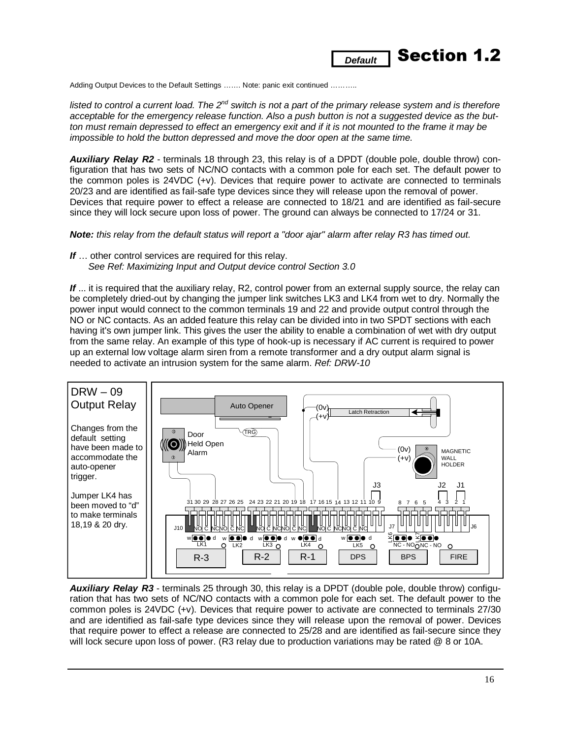

Adding Output Devices to the Default Settings ……. Note: panic exit continued ………..

listed to control a current load. The 2<sup>nd</sup> switch is not a part of the primary release system and is therefore *acceptable for the emergency release function. Also a push button is not a suggested device as the button must remain depressed to effect an emergency exit and if it is not mounted to the frame it may be impossible to hold the button depressed and move the door open at the same time.* 

*Auxiliary Relay R2* - terminals 18 through 23, this relay is of a DPDT (double pole, double throw) configuration that has two sets of NC/NO contacts with a common pole for each set. The default power to the common poles is 24VDC (+v). Devices that require power to activate are connected to terminals 20/23 and are identified as fail-safe type devices since they will release upon the removal of power. Devices that require power to effect a release are connected to 18/21 and are identified as fail-secure since they will lock secure upon loss of power. The ground can always be connected to 17/24 or 31.

*Note: this relay from the default status will report a "door ajar" alarm after relay R3 has timed out.* 

*If* … other control services are required for this relay. *See Ref: Maximizing Input and Output device control Section 3.0* 

If ... it is required that the auxiliary relay, R2, control power from an external supply source, the relay can be completely dried-out by changing the jumper link switches LK3 and LK4 from wet to dry. Normally the power input would connect to the common terminals 19 and 22 and provide output control through the NO or NC contacts. As an added feature this relay can be divided into in two SPDT sections with each having it's own jumper link. This gives the user the ability to enable a combination of wet with dry output from the same relay. An example of this type of hook-up is necessary if AC current is required to power up an external low voltage alarm siren from a remote transformer and a dry output alarm signal is needed to activate an intrusion system for the same alarm. *Ref: DRW-10* 



*Auxiliary Relay R3* - terminals 25 through 30, this relay is a DPDT (double pole, double throw) configuration that has two sets of NC/NO contacts with a common pole for each set. The default power to the common poles is 24VDC (+v). Devices that require power to activate are connected to terminals 27/30 and are identified as fail-safe type devices since they will release upon the removal of power. Devices that require power to effect a release are connected to 25/28 and are identified as fail-secure since they will lock secure upon loss of power. (R3 relay due to production variations may be rated @ 8 or 10A.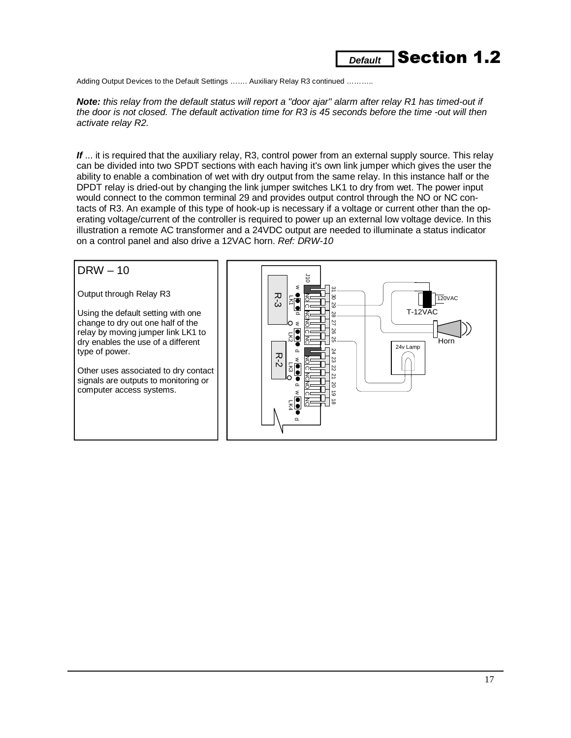### **Default Section 1.2**

Adding Output Devices to the Default Settings ....... Auxiliary Relay R3 continued ..........

*Note: this relay from the default status will report a "door ajar" alarm after relay R1 has timed-out if the door is not closed. The default activation time for R3 is 45 seconds before the time -out will then activate relay R2.*

*If* ... it is required that the auxiliary relay, R3, control power from an external supply source. This relay can be divided into two SPDT sections with each having it's own link jumper which gives the user the ability to enable a combination of wet with dry output from the same relay. In this instance half or the DPDT relay is dried-out by changing the link jumper switches LK1 to dry from wet. The power input would connect to the common terminal 29 and provides output control through the NO or NC contacts of R3. An example of this type of hook-up is necessary if a voltage or current other than the operating voltage/current of the controller is required to power up an external low voltage device. In this illustration a remote AC transformer and a 24VDC output are needed to illuminate a status indicator on a control panel and also drive a 12VAC horn. *Ref: DRW-10* 

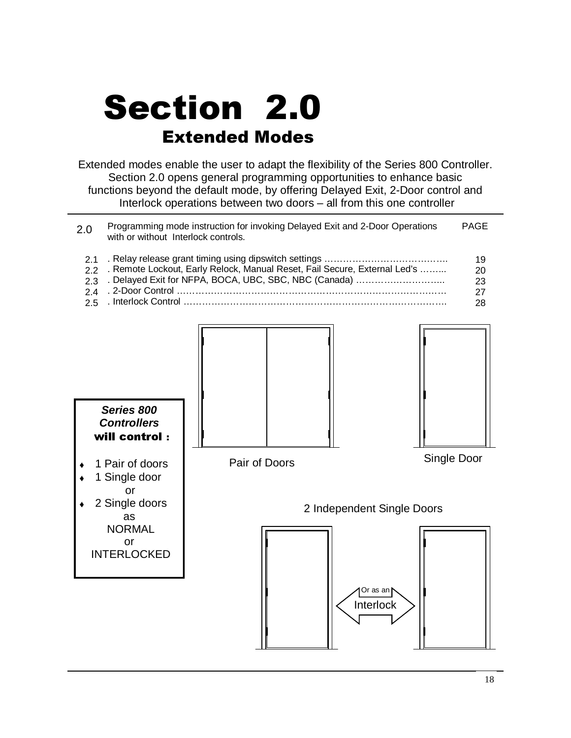# Section 2.0 **Extended Modes**

Extended modes enable the user to adapt the flexibility of the Series 800 Controller. Section 2.0 opens general programming opportunities to enhance basic functions beyond the default mode, by offering Delayed Exit, 2-Door control and Interlock operations between two doors – all from this one controller

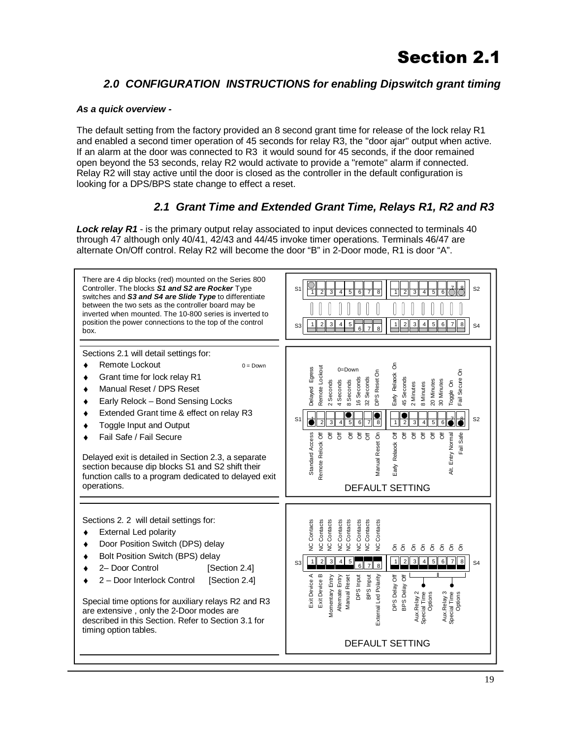### *2.0 CONFIGURATION INSTRUCTIONS for enabling Dipswitch grant timing*

#### *As a quick overview -*

The default setting from the factory provided an 8 second grant time for release of the lock relay R1 and enabled a second timer operation of 45 seconds for relay R3, the "door ajar" output when active. If an alarm at the door was connected to R3 it would sound for 45 seconds, if the door remained open beyond the 53 seconds, relay R2 would activate to provide a "remote" alarm if connected. Relay R2 will stay active until the door is closed as the controller in the default configuration is looking for a DPS/BPS state change to effect a reset.

### *2.1 Grant Time and Extended Grant Time, Relays R1, R2 and R3*

*Lock relay R1* - is the primary output relay associated to input devices connected to terminals 40 through 47 although only 40/41, 42/43 and 44/45 invoke timer operations. Terminals 46/47 are alternate On/Off control. Relay R2 will become the door "B" in 2-Door mode, R1 is door "A".

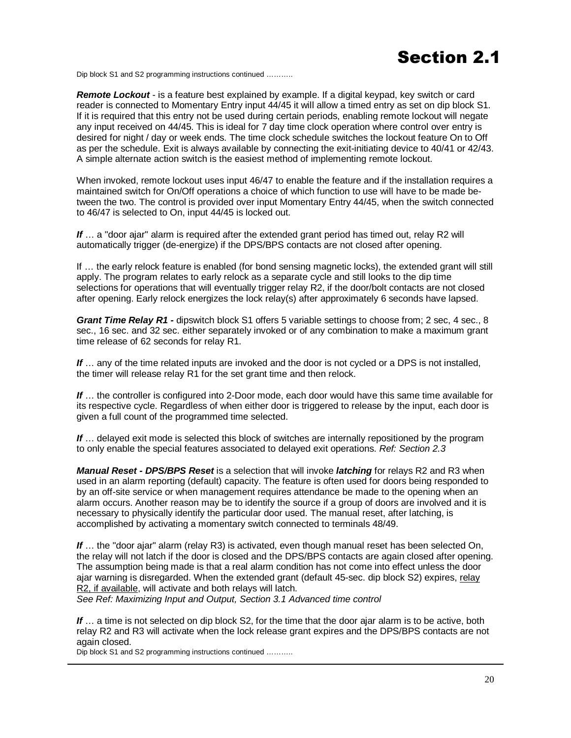## **Section 2.1**

Dip block S1 and S2 programming instructions continued ………..

*Remote Lockout* - is a feature best explained by example. If a digital keypad, key switch or card reader is connected to Momentary Entry input 44/45 it will allow a timed entry as set on dip block S1. If it is required that this entry not be used during certain periods, enabling remote lockout will negate any input received on 44/45. This is ideal for 7 day time clock operation where control over entry is desired for night / day or week ends. The time clock schedule switches the lockout feature On to Off as per the schedule. Exit is always available by connecting the exit-initiating device to 40/41 or 42/43. A simple alternate action switch is the easiest method of implementing remote lockout.

When invoked, remote lockout uses input 46/47 to enable the feature and if the installation requires a maintained switch for On/Off operations a choice of which function to use will have to be made between the two. The control is provided over input Momentary Entry 44/45, when the switch connected to 46/47 is selected to On, input 44/45 is locked out.

*If* … a "door ajar" alarm is required after the extended grant period has timed out, relay R2 will automatically trigger (de-energize) if the DPS/BPS contacts are not closed after opening.

If … the early relock feature is enabled (for bond sensing magnetic locks), the extended grant will still apply. The program relates to early relock as a separate cycle and still looks to the dip time selections for operations that will eventually trigger relay R2, if the door/bolt contacts are not closed after opening. Early relock energizes the lock relay(s) after approximately 6 seconds have lapsed.

*Grant Time Relay R1 -* dipswitch block S1 offers 5 variable settings to choose from; 2 sec, 4 sec., 8 sec., 16 sec. and 32 sec. either separately invoked or of any combination to make a maximum grant time release of 62 seconds for relay R1.

*If* … any of the time related inputs are invoked and the door is not cycled or a DPS is not installed, the timer will release relay R1 for the set grant time and then relock.

*If* … the controller is configured into 2-Door mode, each door would have this same time available for its respective cycle. Regardless of when either door is triggered to release by the input, each door is given a full count of the programmed time selected.

*If* … delayed exit mode is selected this block of switches are internally repositioned by the program to only enable the special features associated to delayed exit operations. *Ref: Section 2.3* 

*Manual Reset - DPS/BPS Reset* is a selection that will invoke *latching* for relays R2 and R3 when used in an alarm reporting (default) capacity. The feature is often used for doors being responded to by an off-site service or when management requires attendance be made to the opening when an alarm occurs. Another reason may be to identify the source if a group of doors are involved and it is necessary to physically identify the particular door used. The manual reset, after latching, is accomplished by activating a momentary switch connected to terminals 48/49.

*If* … the "door ajar" alarm (relay R3) is activated, even though manual reset has been selected On, the relay will not latch if the door is closed and the DPS/BPS contacts are again closed after opening. The assumption being made is that a real alarm condition has not come into effect unless the door ajar warning is disregarded. When the extended grant (default 45-sec. dip block S2) expires, relay R2, if available, will activate and both relays will latch.

*See Ref: Maximizing Input and Output, Section 3.1 Advanced time control* 

If ... a time is not selected on dip block S2, for the time that the door ajar alarm is to be active, both relay R2 and R3 will activate when the lock release grant expires and the DPS/BPS contacts are not again closed.

Dip block S1 and S2 programming instructions continued ………..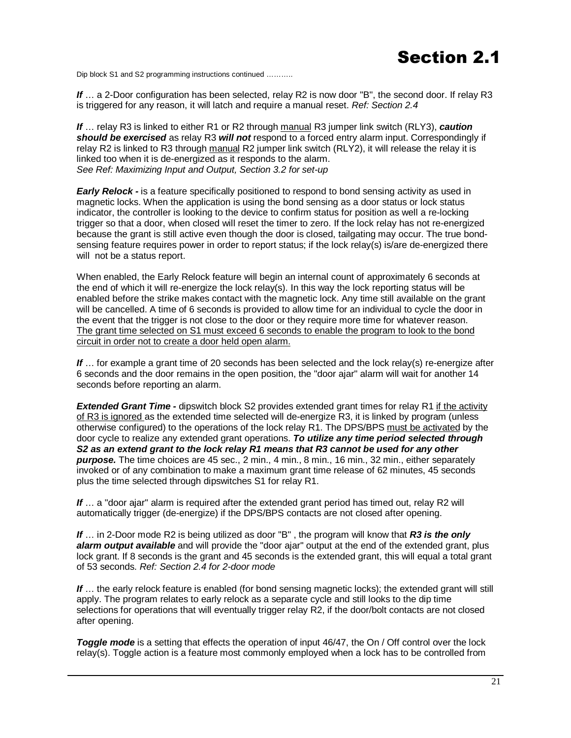## **Section 2.1**

Dip block S1 and S2 programming instructions continued ………..

*If* … a 2-Door configuration has been selected, relay R2 is now door "B", the second door. If relay R3 is triggered for any reason, it will latch and require a manual reset. *Ref: Section 2.4*

*If* … relay R3 is linked to either R1 or R2 through manual R3 jumper link switch (RLY3), *caution should be exercised* as relay R3 *will not* respond to a forced entry alarm input. Correspondingly if relay R2 is linked to R3 through manual R2 jumper link switch (RLY2), it will release the relay it is linked too when it is de-energized as it responds to the alarm. *See Ref: Maximizing Input and Output, Section 3.2 for set-up* 

**Early Relock -** is a feature specifically positioned to respond to bond sensing activity as used in magnetic locks. When the application is using the bond sensing as a door status or lock status indicator, the controller is looking to the device to confirm status for position as well a re-locking trigger so that a door, when closed will reset the timer to zero. If the lock relay has not re-energized because the grant is still active even though the door is closed, tailgating may occur. The true bondsensing feature requires power in order to report status; if the lock relay(s) is/are de-energized there will not be a status report.

When enabled, the Early Relock feature will begin an internal count of approximately 6 seconds at the end of which it will re-energize the lock relay(s). In this way the lock reporting status will be enabled before the strike makes contact with the magnetic lock. Any time still available on the grant will be cancelled. A time of 6 seconds is provided to allow time for an individual to cycle the door in the event that the trigger is not close to the door or they require more time for whatever reason. The grant time selected on S1 must exceed 6 seconds to enable the program to look to the bond circuit in order not to create a door held open alarm.

*If* … for example a grant time of 20 seconds has been selected and the lock relay(s) re-energize after 6 seconds and the door remains in the open position, the "door ajar" alarm will wait for another 14 seconds before reporting an alarm.

*Extended Grant Time -* dipswitch block S2 provides extended grant times for relay R1 if the activity of R3 is ignored as the extended time selected will de-energize R3, it is linked by program (unless otherwise configured) to the operations of the lock relay R1. The DPS/BPS must be activated by the door cycle to realize any extended grant operations. *To utilize any time period selected through S2 as an extend grant to the lock relay R1 means that R3 cannot be used for any other purpose.* The time choices are 45 sec., 2 min., 4 min., 8 min., 16 min., 32 min., either separately invoked or of any combination to make a maximum grant time release of 62 minutes, 45 seconds plus the time selected through dipswitches S1 for relay R1.

If ... a "door ajar" alarm is required after the extended grant period has timed out, relay R2 will automatically trigger (de-energize) if the DPS/BPS contacts are not closed after opening.

*If* … in 2-Door mode R2 is being utilized as door "B" , the program will know that *R3 is the only alarm output available* and will provide the "door ajar" output at the end of the extended grant, plus lock grant. If 8 seconds is the grant and 45 seconds is the extended grant, this will equal a total grant of 53 seconds. *Ref: Section 2.4 for 2-door mode* 

If ... the early relock feature is enabled (for bond sensing magnetic locks); the extended grant will still apply. The program relates to early relock as a separate cycle and still looks to the dip time selections for operations that will eventually trigger relay R2, if the door/bolt contacts are not closed after opening.

**Toggle mode** is a setting that effects the operation of input 46/47, the On / Off control over the lock relay(s). Toggle action is a feature most commonly employed when a lock has to be controlled from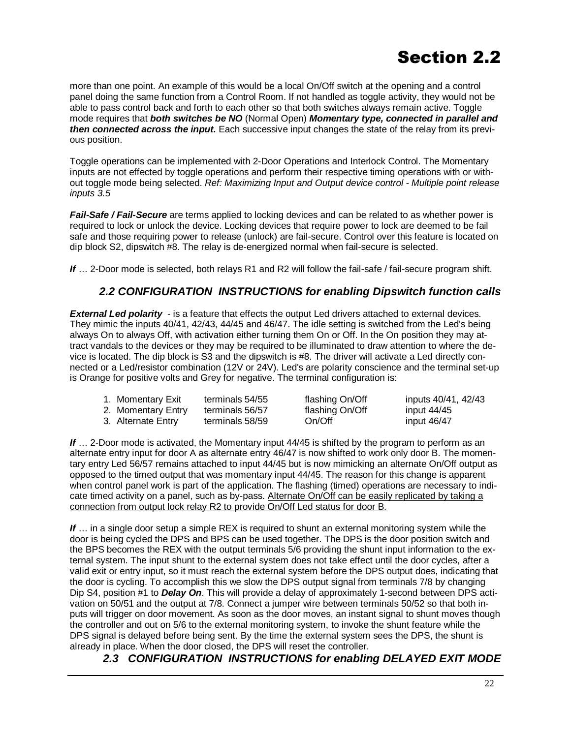more than one point. An example of this would be a local On/Off switch at the opening and a control panel doing the same function from a Control Room. If not handled as toggle activity, they would not be able to pass control back and forth to each other so that both switches always remain active. Toggle mode requires that *both switches be NO* (Normal Open) *Momentary type, connected in parallel and then connected across the input.* Each successive input changes the state of the relay from its previous position.

Toggle operations can be implemented with 2-Door Operations and Interlock Control. The Momentary inputs are not effected by toggle operations and perform their respective timing operations with or without toggle mode being selected. *Ref: Maximizing Input and Output device control - Multiple point release inputs 3.5* 

*Fail-Safe / Fail-Secure* are terms applied to locking devices and can be related to as whether power is required to lock or unlock the device. Locking devices that require power to lock are deemed to be fail safe and those requiring power to release (unlock) are fail-secure. Control over this feature is located on dip block S2, dipswitch #8. The relay is de-energized normal when fail-secure is selected.

*If* … 2-Door mode is selected, both relays R1 and R2 will follow the fail-safe / fail-secure program shift.

#### *2.2 CONFIGURATION INSTRUCTIONS for enabling Dipswitch function calls*

**External Led polarity** - is a feature that effects the output Led drivers attached to external devices. They mimic the inputs 40/41, 42/43, 44/45 and 46/47. The idle setting is switched from the Led's being always On to always Off, with activation either turning them On or Off. In the On position they may attract vandals to the devices or they may be required to be illuminated to draw attention to where the device is located. The dip block is S3 and the dipswitch is #8. The driver will activate a Led directly connected or a Led/resistor combination (12V or 24V). Led's are polarity conscience and the terminal set-up is Orange for positive volts and Grey for negative. The terminal configuration is:

| 1. Momentary Exit  | terminals 54/55 | flashing On/Off | inputs 40/41, 42/43 |
|--------------------|-----------------|-----------------|---------------------|
| 2. Momentary Entry | terminals 56/57 | flashing On/Off | input $44/45$       |
| 3. Alternate Entry | terminals 58/59 | On/Off          | input $46/47$       |

**If** ... 2-Door mode is activated, the Momentary input 44/45 is shifted by the program to perform as an alternate entry input for door A as alternate entry 46/47 is now shifted to work only door B. The momentary entry Led 56/57 remains attached to input 44/45 but is now mimicking an alternate On/Off output as opposed to the timed output that was momentary input 44/45. The reason for this change is apparent when control panel work is part of the application. The flashing (timed) operations are necessary to indicate timed activity on a panel, such as by-pass. Alternate On/Off can be easily replicated by taking a connection from output lock relay R2 to provide On/Off Led status for door B.

**If** ... in a single door setup a simple REX is required to shunt an external monitoring system while the door is being cycled the DPS and BPS can be used together. The DPS is the door position switch and the BPS becomes the REX with the output terminals 5/6 providing the shunt input information to the external system. The input shunt to the external system does not take effect until the door cycles, after a valid exit or entry input, so it must reach the external system before the DPS output does, indicating that the door is cycling. To accomplish this we slow the DPS output signal from terminals 7/8 by changing Dip S4, position #1 to *Delay On*. This will provide a delay of approximately 1-second between DPS activation on 50/51 and the output at 7/8. Connect a jumper wire between terminals 50/52 so that both inputs will trigger on door movement. As soon as the door moves, an instant signal to shunt moves though the controller and out on 5/6 to the external monitoring system, to invoke the shunt feature while the DPS signal is delayed before being sent. By the time the external system sees the DPS, the shunt is already in place. When the door closed, the DPS will reset the controller.

#### *2.3 CONFIGURATION INSTRUCTIONS for enabling DELAYED EXIT MODE*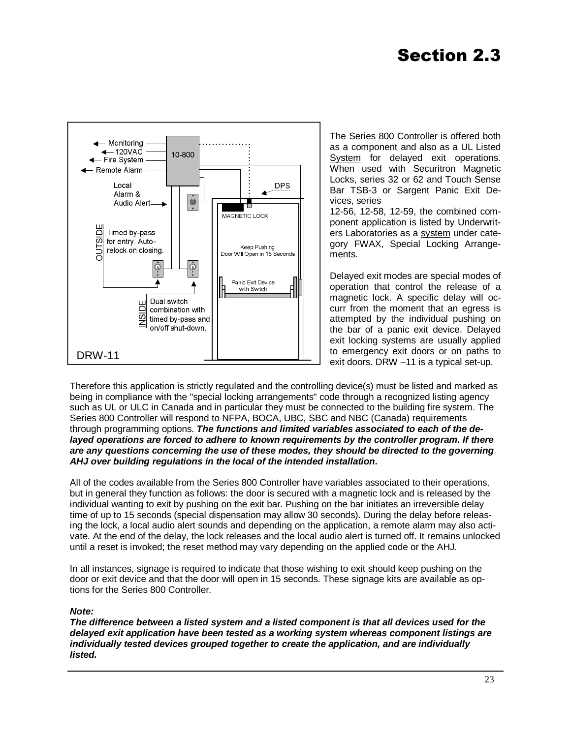

The Series 800 Controller is offered both as a component and also as a UL Listed System for delayed exit operations. When used with Securitron Magnetic Locks, series 32 or 62 and Touch Sense Bar TSB-3 or Sargent Panic Exit Devices, series

12-56, 12-58, 12-59, the combined component application is listed by Underwriters Laboratories as a system under category FWAX, Special Locking Arrangements.

Delayed exit modes are special modes of operation that control the release of a magnetic lock. A specific delay will occurr from the moment that an egress is attempted by the individual pushing on the bar of a panic exit device. Delayed exit locking systems are usually applied to emergency exit doors or on paths to exit doors. DRW –11 is a typical set-up.

Therefore this application is strictly regulated and the controlling device(s) must be listed and marked as being in compliance with the "special locking arrangements" code through a recognized listing agency such as UL or ULC in Canada and in particular they must be connected to the building fire system. The Series 800 Controller will respond to NFPA, BOCA, UBC, SBC and NBC (Canada) requirements through programming options. *The functions and limited variables associated to each of the de*layed operations are forced to adhere to known requirements by the controller program. If there *are any questions concerning the use of these modes, they should be directed to the governing AHJ over building regulations in the local of the intended installation.* 

All of the codes available from the Series 800 Controller have variables associated to their operations, but in general they function as follows: the door is secured with a magnetic lock and is released by the individual wanting to exit by pushing on the exit bar. Pushing on the bar initiates an irreversible delay time of up to 15 seconds (special dispensation may allow 30 seconds). During the delay before releasing the lock, a local audio alert sounds and depending on the application, a remote alarm may also activate. At the end of the delay, the lock releases and the local audio alert is turned off. It remains unlocked until a reset is invoked; the reset method may vary depending on the applied code or the AHJ.

In all instances, signage is required to indicate that those wishing to exit should keep pushing on the door or exit device and that the door will open in 15 seconds. These signage kits are available as options for the Series 800 Controller.

#### *Note:*

*The difference between a listed system and a listed component is that all devices used for the delayed exit application have been tested as a working system whereas component listings are individually tested devices grouped together to create the application, and are individually listed.*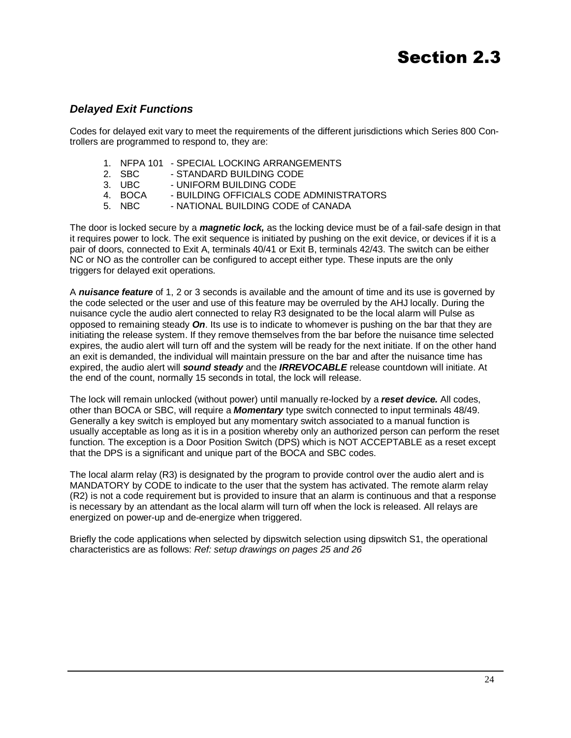## **Section 2.3**

#### *Delayed Exit Functions*

Codes for delayed exit vary to meet the requirements of the different jurisdictions which Series 800 Controllers are programmed to respond to, they are:

- 1. NFPA 101 SPECIAL LOCKING ARRANGEMENTS
- 2. SBC STANDARD BUILDING CODE
- 3. UBC UNIFORM BUILDING CODE<br>4. BOCA BUILDING OFFICIALS CODE
- BUILDING OFFICIALS CODE ADMINISTRATORS
- 5. NBC NATIONAL BUILDING CODE of CANADA

The door is locked secure by a *magnetic lock,* as the locking device must be of a fail-safe design in that it requires power to lock. The exit sequence is initiated by pushing on the exit device, or devices if it is a pair of doors, connected to Exit A, terminals 40/41 or Exit B, terminals 42/43. The switch can be either NC or NO as the controller can be configured to accept either type. These inputs are the only triggers for delayed exit operations.

A *nuisance feature* of 1, 2 or 3 seconds is available and the amount of time and its use is governed by the code selected or the user and use of this feature may be overruled by the AHJ locally. During the nuisance cycle the audio alert connected to relay R3 designated to be the local alarm will Pulse as opposed to remaining steady *On*. Its use is to indicate to whomever is pushing on the bar that they are initiating the release system. If they remove themselves from the bar before the nuisance time selected expires, the audio alert will turn off and the system will be ready for the next initiate. If on the other hand an exit is demanded, the individual will maintain pressure on the bar and after the nuisance time has expired, the audio alert will *sound steady* and the *IRREVOCABLE* release countdown will initiate. At the end of the count, normally 15 seconds in total, the lock will release.

The lock will remain unlocked (without power) until manually re-locked by a *reset device.* All codes, other than BOCA or SBC, will require a *Momentary* type switch connected to input terminals 48/49. Generally a key switch is employed but any momentary switch associated to a manual function is usually acceptable as long as it is in a position whereby only an authorized person can perform the reset function. The exception is a Door Position Switch (DPS) which is NOT ACCEPTABLE as a reset except that the DPS is a significant and unique part of the BOCA and SBC codes.

The local alarm relay (R3) is designated by the program to provide control over the audio alert and is MANDATORY by CODE to indicate to the user that the system has activated. The remote alarm relay (R2) is not a code requirement but is provided to insure that an alarm is continuous and that a response is necessary by an attendant as the local alarm will turn off when the lock is released. All relays are energized on power-up and de-energize when triggered.

Briefly the code applications when selected by dipswitch selection using dipswitch S1, the operational characteristics are as follows: *Ref: setup drawings on pages 25 and 26*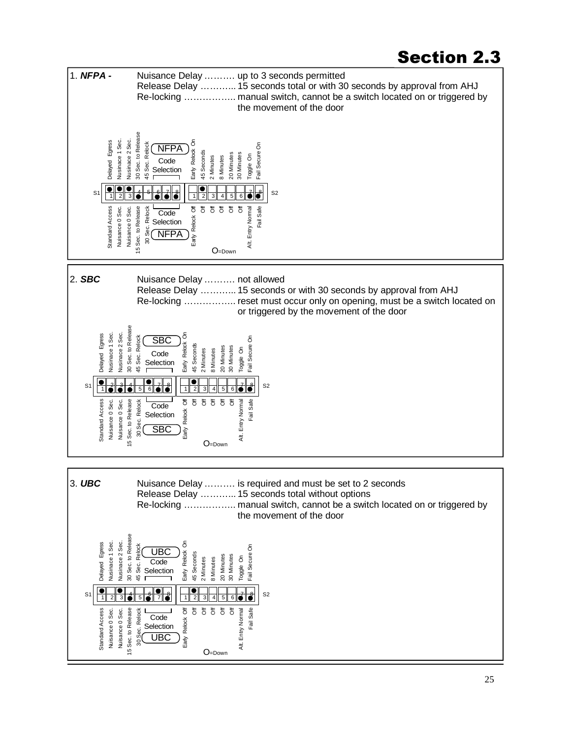### **Section 2.3**

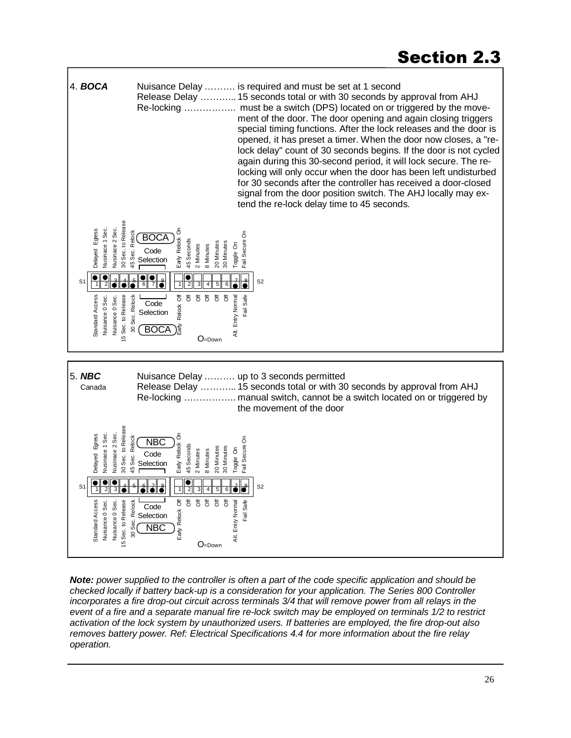

*Note: power supplied to the controller is often a part of the code specific application and should be checked locally if battery back-up is a consideration for your application. The Series 800 Controller*  incorporates a fire drop-out circuit across terminals 3/4 that will remove power from all relays in the *event of a fire and a separate manual fire re-lock switch may be employed on terminals 1/2 to restrict activation of the lock system by unauthorized users. If batteries are employed, the fire drop-out also removes battery power. Ref: Electrical Specifications 4.4 for more information about the fire relay operation.*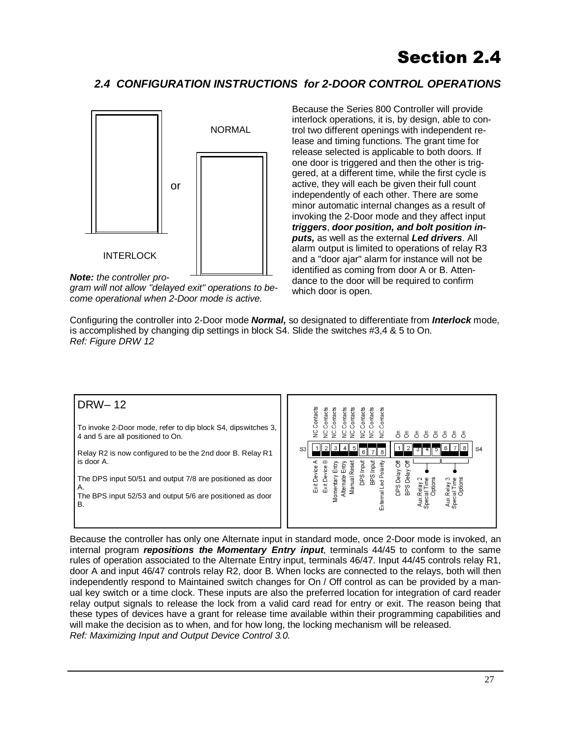## **Section 2.4**

### *2.4 CONFIGURATION INSTRUCTIONS for 2-DOOR CONTROL OPERATIONS*



*Note: the controller pro-*

*gram will not allow "delayed exit" operations to become operational when 2-Door mode is active.* 

Because the Series 800 Controller will provide interlock operations, it is, by design, able to control two different openings with independent release and timing functions. The grant time for release selected is applicable to both doors. If one door is triggered and then the other is triggered, at a different time, while the first cycle is active, they will each be given their full count independently of each other. There are some minor automatic internal changes as a result of invoking the 2-Door mode and they affect input *triggers*, *door position, and bolt position inputs,* as well as the external *Led drivers*. All alarm output is limited to operations of relay R3 and a "door ajar" alarm for instance will not be identified as coming from door A or B. Attendance to the door will be required to confirm which door is open.

Configuring the controller into 2-Door mode *Normal,* so designated to differentiate from *Interlock* mode, is accomplished by changing dip settings in block S4. Slide the switches #3,4 & 5 to On. *Ref: Figure DRW 12* 



Because the controller has only one Alternate input in standard mode, once 2-Door mode is invoked, an internal program *repositions the Momentary Entry input*, terminals 44/45 to conform to the same rules of operation associated to the Alternate Entry input, terminals 46/47. Input 44/45 controls relay R1, door A and input 46/47 controls relay R2, door B. When locks are connected to the relays, both will then independently respond to Maintained switch changes for On / Off control as can be provided by a manual key switch or a time clock. These inputs are also the preferred location for integration of card reader relay output signals to release the lock from a valid card read for entry or exit. The reason being that these types of devices have a grant for release time available within their programming capabilities and will make the decision as to when, and for how long, the locking mechanism will be released. *Ref: Maximizing Input and Output Device Control 3.0.*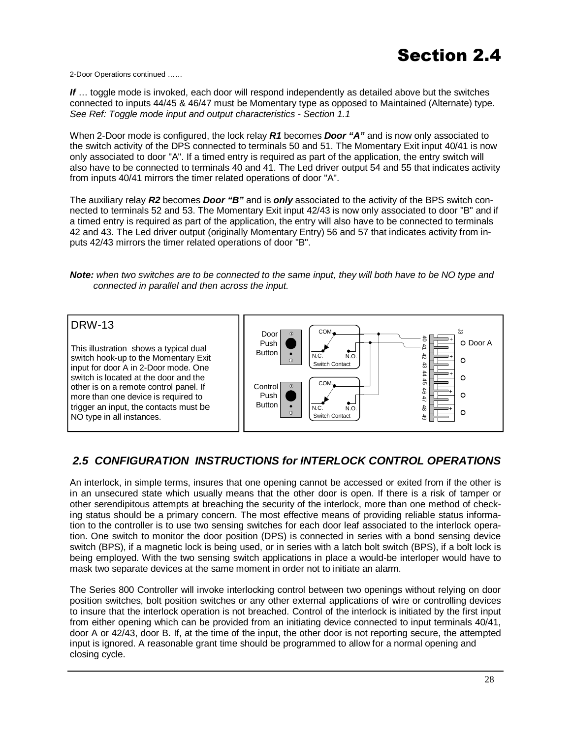2-Door Operations continued ……

*If* … toggle mode is invoked, each door will respond independently as detailed above but the switches connected to inputs 44/45 & 46/47 must be Momentary type as opposed to Maintained (Alternate) type. *See Ref: Toggle mode input and output characteristics - Section 1.1* 

When 2-Door mode is configured, the lock relay *R1* becomes *Door "A"* and is now only associated to the switch activity of the DPS connected to terminals 50 and 51. The Momentary Exit input 40/41 is now only associated to door "A". If a timed entry is required as part of the application, the entry switch will also have to be connected to terminals 40 and 41. The Led driver output 54 and 55 that indicates activity from inputs 40/41 mirrors the timer related operations of door "A".

The auxiliary relay *R2* becomes *Door "B"* and is *only* associated to the activity of the BPS switch connected to terminals 52 and 53. The Momentary Exit input 42/43 is now only associated to door "B" and if a timed entry is required as part of the application, the entry will also have to be connected to terminals 42 and 43. The Led driver output (originally Momentary Entry) 56 and 57 that indicates activity from inputs 42/43 mirrors the timer related operations of door "B".

*Note: when two switches are to be connected to the same input, they will both have to be NO type and connected in parallel and then across the input.* 

#### DRW-13 COM. ದ Door 40  $+$  +  $+$  +  $+$ O Door A Push This illustration shows a typical dual 41 Button  $\bullet$  $N.C.$   $N.O.$  $42$ switch hook-up to the Momentary Exit  $\Omega$ Switch Contact input for door A in 2-Door mode. One 43 44switch is located at the door and the  $\Omega$ **COM**  45 other is on a remote control panel. If **Control**  $\circ$ 46 47Push  $\circ$ more than one device is required to  $N.C.$   $N.O.$ Button trigger an input, the contacts must be 48+  $\circ$  $\mathbb{C}$ NO type in all instances. Switch Contact  $\frac{4}{5}$

### *2.5 CONFIGURATION INSTRUCTIONS for INTERLOCK CONTROL OPERATIONS*

An interlock, in simple terms, insures that one opening cannot be accessed or exited from if the other is in an unsecured state which usually means that the other door is open. If there is a risk of tamper or other serendipitous attempts at breaching the security of the interlock, more than one method of checking status should be a primary concern. The most effective means of providing reliable status information to the controller is to use two sensing switches for each door leaf associated to the interlock operation. One switch to monitor the door position (DPS) is connected in series with a bond sensing device switch (BPS), if a magnetic lock is being used, or in series with a latch bolt switch (BPS), if a bolt lock is being employed. With the two sensing switch applications in place a would-be interloper would have to mask two separate devices at the same moment in order not to initiate an alarm.

The Series 800 Controller will invoke interlocking control between two openings without relying on door position switches, bolt position switches or any other external applications of wire or controlling devices to insure that the interlock operation is not breached. Control of the interlock is initiated by the first input from either opening which can be provided from an initiating device connected to input terminals 40/41, door A or 42/43, door B. If, at the time of the input, the other door is not reporting secure, the attempted input is ignored. A reasonable grant time should be programmed to allow for a normal opening and closing cycle.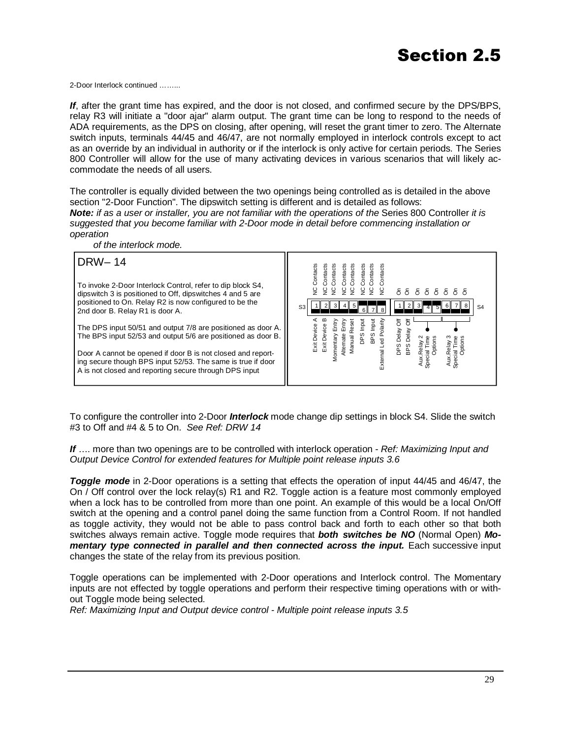2-Door Interlock continued ……...

*If*, after the grant time has expired, and the door is not closed, and confirmed secure by the DPS/BPS, relay R3 will initiate a "door ajar" alarm output. The grant time can be long to respond to the needs of ADA requirements, as the DPS on closing, after opening, will reset the grant timer to zero. The Alternate switch inputs, terminals 44/45 and 46/47, are not normally employed in interlock controls except to act as an override by an individual in authority or if the interlock is only active for certain periods. The Series 800 Controller will allow for the use of many activating devices in various scenarios that will likely accommodate the needs of all users.

The controller is equally divided between the two openings being controlled as is detailed in the above section "2-Door Function". The dipswitch setting is different and is detailed as follows: **Note:** *if as a user or installer, you are not familiar with the operations of the Series 800 Controller <i>it is suggested that you become familiar with 2-Door mode in detail before commencing installation or operation* 

 *of the interlock mode.*  DRW– 14 To invoke 2-Door Interlock Control, refer to dip block S4, dipswitch 3 is positioned to Off, dipswitches 4 and 5 are positioned to On. Relay R2 is now configured to be the 2nd door B. Relay R1 is door A. The DPS input 50/51 and output 7/8 are positioned as door A. The BPS input 52/53 and output 5/6 are positioned as door B. Door A cannot be opened if door B is not closed and reporting secure though BPS input 52/53. The same is true if door A is not closed and reporting secure through DPS input  $_{53}$  1 2 3 4 5  $\blacksquare$  1 1 2 3 4 5  $\blacksquare$ Exit Device A Exit Device B Momentary Entry Alternate Entry Manual Reset DPS Input BPS Input External Led Polarity NC Contacts NC Contacts NC Contacts NC Contacts NC Contacts NC Contacts NC Contacts NC Contacts On On On On On On On On DPS Delay Off BPS Delay Off Aux.Relay 2 Special Time Options Aux.Relay 3 Special Time Options

To configure the controller into 2-Door *Interlock* mode change dip settings in block S4. Slide the switch #3 to Off and #4 & 5 to On. *See Ref: DRW 14* 

*If* …. more than two openings are to be controlled with interlock operation - *Ref: Maximizing Input and Output Device Control for extended features for Multiple point release inputs 3.6* 

*Toggle mode* in 2-Door operations is a setting that effects the operation of input 44/45 and 46/47, the On / Off control over the lock relay(s) R1 and R2. Toggle action is a feature most commonly employed when a lock has to be controlled from more than one point. An example of this would be a local On/Off switch at the opening and a control panel doing the same function from a Control Room. If not handled as toggle activity, they would not be able to pass control back and forth to each other so that both switches always remain active. Toggle mode requires that *both switches be NO* (Normal Open) *Mo***mentary type connected in parallel and then connected across the input.** Each successive input changes the state of the relay from its previous position.

Toggle operations can be implemented with 2-Door operations and Interlock control. The Momentary inputs are not effected by toggle operations and perform their respective timing operations with or without Toggle mode being selected.

*Ref: Maximizing Input and Output device control - Multiple point release inputs 3.5*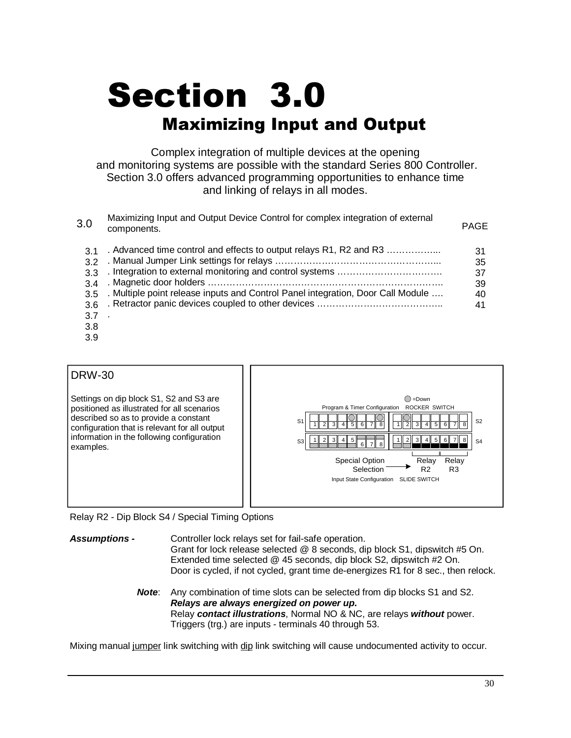# **Section 3.0 Maximizing Input and Output**

Complex integration of multiple devices at the opening and monitoring systems are possible with the standard Series 800 Controller. Section 3.0 offers advanced programming opportunities to enhance time and linking of relays in all modes.

| 3.0                                                  | Maximizing Input and Output Device Control for complex integration of external<br>components.                                                         | <b>PAGE</b>                      |
|------------------------------------------------------|-------------------------------------------------------------------------------------------------------------------------------------------------------|----------------------------------|
| $\mathbf{3}1$<br>32<br>33<br>34<br>3.5<br>3.6<br>3.7 | . Advanced time control and effects to output relays R1, R2 and R3<br>. Multiple point release inputs and Control Panel integration, Door Call Module | 31<br>35<br>37<br>39<br>40<br>41 |

- 3.7
- 3.8
- 3.9



Relay R2 - Dip Block S4 / Special Timing Options

*Assumptions -* Controller lock relays set for fail-safe operation. Grant for lock release selected @ 8 seconds, dip block S1, dipswitch #5 On. Extended time selected @ 45 seconds, dip block S2, dipswitch #2 On. Door is cycled, if not cycled, grant time de-energizes R1 for 8 sec., then relock.

> **Note:** Any combination of time slots can be selected from dip blocks S1 and S2. *Relays are always energized on power up.* Relay *contact illustrations*, Normal NO & NC, are relays *without* power. Triggers (trg.) are inputs - terminals 40 through 53.

Mixing manual jumper link switching with dip link switching will cause undocumented activity to occur.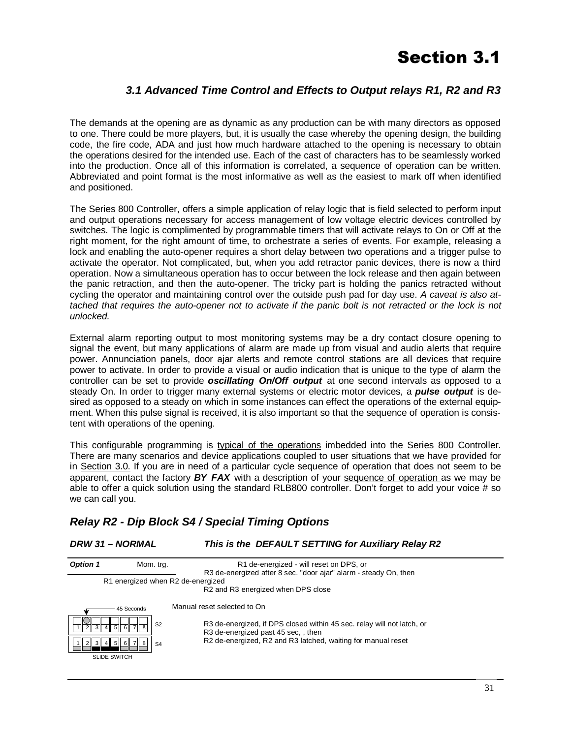### *3.1 Advanced Time Control and Effects to Output relays R1, R2 and R3*

The demands at the opening are as dynamic as any production can be with many directors as opposed to one. There could be more players, but, it is usually the case whereby the opening design, the building code, the fire code, ADA and just how much hardware attached to the opening is necessary to obtain the operations desired for the intended use. Each of the cast of characters has to be seamlessly worked into the production. Once all of this information is correlated, a sequence of operation can be written. Abbreviated and point format is the most informative as well as the easiest to mark off when identified and positioned.

The Series 800 Controller, offers a simple application of relay logic that is field selected to perform input and output operations necessary for access management of low voltage electric devices controlled by switches. The logic is complimented by programmable timers that will activate relays to On or Off at the right moment, for the right amount of time, to orchestrate a series of events. For example, releasing a lock and enabling the auto-opener requires a short delay between two operations and a trigger pulse to activate the operator. Not complicated, but, when you add retractor panic devices, there is now a third operation. Now a simultaneous operation has to occur between the lock release and then again between the panic retraction, and then the auto-opener. The tricky part is holding the panics retracted without cycling the operator and maintaining control over the outside push pad for day use. *A caveat is also attached that requires the auto-opener not to activate if the panic bolt is not retracted or the lock is not unlocked.* 

External alarm reporting output to most monitoring systems may be a dry contact closure opening to signal the event, but many applications of alarm are made up from visual and audio alerts that require power. Annunciation panels, door ajar alerts and remote control stations are all devices that require power to activate. In order to provide a visual or audio indication that is unique to the type of alarm the controller can be set to provide *oscillating On/Off output* at one second intervals as opposed to a steady On. In order to trigger many external systems or electric motor devices, a *pulse output* is desired as opposed to a steady on which in some instances can effect the operations of the external equipment. When this pulse signal is received, it is also important so that the sequence of operation is consistent with operations of the opening.

This configurable programming is typical of the operations imbedded into the Series 800 Controller. There are many scenarios and device applications coupled to user situations that we have provided for in Section 3.0. If you are in need of a particular cycle sequence of operation that does not seem to be apparent, contact the factory *BY FAX* with a description of your sequence of operation as we may be able to offer a quick solution using the standard RLB800 controller. Don't forget to add your voice # so we can call you.

### *Relay R2 - Dip Block S4 / Special Timing Options*

#### *DRW 31 – NORMAL This is the DEFAULT SETTING for Auxiliary Relay R2*

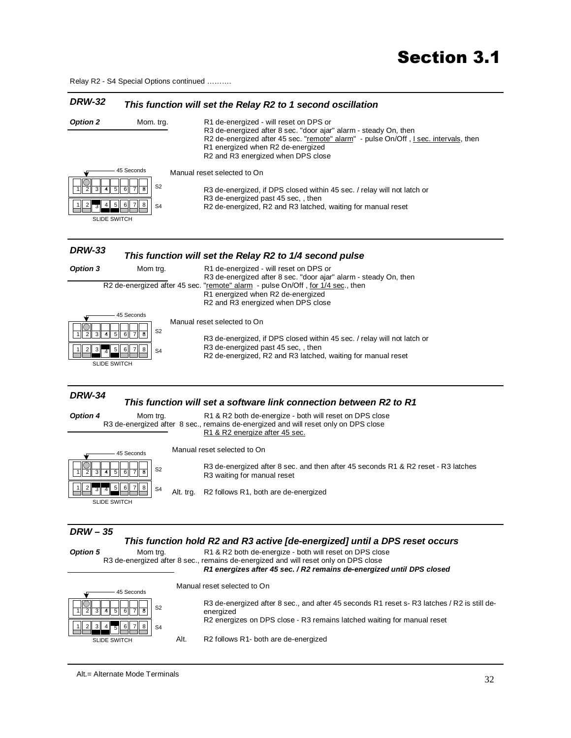Relay R2 - S4 Special Options continued ……….

#### *DRW-32 This function will set the Relay R2 to 1 second oscillation*

| <b>Option 2</b>                                                                           | Mom. trg.                                                                       | R1 de-energized - will reset on DPS or<br>R3 de-energized after 8 sec. "door ajar" alarm - steady On, then<br>R2 de-energized after 45 sec. "remote" alarm" - pulse On/Off, I sec. intervals, then<br>R1 energized when R2 de-energized<br>R2 and R3 energized when DPS close                          |
|-------------------------------------------------------------------------------------------|---------------------------------------------------------------------------------|--------------------------------------------------------------------------------------------------------------------------------------------------------------------------------------------------------------------------------------------------------------------------------------------------------|
| $\overline{2}$<br>3<br>5<br>6<br>4<br>5<br>$\,6\,$<br>SLIDE SWITCH                        | 45 Seconds<br>S <sub>2</sub><br>7<br>8<br>$\overline{7}$<br>8<br>S <sub>4</sub> | Manual reset selected to On<br>R3 de-energized, if DPS closed within 45 sec. / relay will not latch or<br>R3 de-energized past 45 sec,, then<br>R2 de-energized, R2 and R3 latched, waiting for manual reset                                                                                           |
| <b>DRW-33</b>                                                                             |                                                                                 | This function will set the Relay R2 to 1/4 second pulse                                                                                                                                                                                                                                                |
| Option 3                                                                                  | Mom trg.                                                                        | R1 de-energized - will reset on DPS or<br>R3 de-energized after 8 sec. "door ajar" alarm - steady On, then<br>R2 de-energized after 45 sec. "remote" alarm - pulse On/Off, for 1/4 sec., then<br>R1 energized when R2 de-energized<br>R2 and R3 energized when DPS close                               |
| 3<br>6<br>5<br>$\,$ 5 $\,$<br>$\overline{2}$<br>3 <br>6<br>$\overline{4}$<br>SLIDE SWITCH | 45 Seconds<br>S <sub>2</sub><br>8<br>7<br>8<br>S <sub>4</sub>                   | Manual reset selected to On<br>R3 de-energized, if DPS closed within 45 sec. / relay will not latch or<br>R3 de-energized past 45 sec,, then<br>R2 de-energized, R2 and R3 latched, waiting for manual reset                                                                                           |
| <b>DRW-34</b>                                                                             |                                                                                 | This function will set a software link connection between R2 to R1                                                                                                                                                                                                                                     |
| Option 4                                                                                  | Mom trg.                                                                        | R1 & R2 both de-energize - both will reset on DPS close<br>R3 de-energized after 8 sec., remains de-energized and will reset only on DPS close<br>R1 & R2 energize after 45 sec.                                                                                                                       |
|                                                                                           | 45 Seconds                                                                      | Manual reset selected to On                                                                                                                                                                                                                                                                            |
| 5<br>6                                                                                    | S <sub>2</sub><br>8                                                             | R3 de-energized after 8 sec. and then after 45 seconds R1 & R2 reset - R3 latches<br>R3 waiting for manual reset                                                                                                                                                                                       |
| 6<br>5<br><b>SLIDE SWITCH</b>                                                             | 8<br>S <sub>4</sub><br>Alt. trg.                                                | R2 follows R1, both are de-energized                                                                                                                                                                                                                                                                   |
| $DRW - 35$<br>Option 5                                                                    | Mom trg.                                                                        | This function hold R2 and R3 active [de-energized] until a DPS reset occurs<br>R1 & R2 both de-energize - both will reset on DPS close<br>R3 de-energized after 8 sec., remains de-energized and will reset only on DPS close<br>R1 energizes after 45 sec. / R2 remains de-energized until DPS closed |
|                                                                                           | 45 Seconds                                                                      | Manual reset selected to On                                                                                                                                                                                                                                                                            |
|                                                                                           |                                                                                 | R3 de-energized after 8 sec., and after 45 seconds R1 reset s- R3 latches / R2 is still de-                                                                                                                                                                                                            |

 $3$   $\parallel$  4 **SLIDE SWITCH** 

2

1 || 2 || 3 || 4

Alt. R2 follows R1- both are de-energized

R2 energizes on DPS close - R3 remains latched waiting for manual reset

energized

Alt.= Alternate Mode Terminals

 $\frac{1}{4}$  5 6 7 8

. S2

S4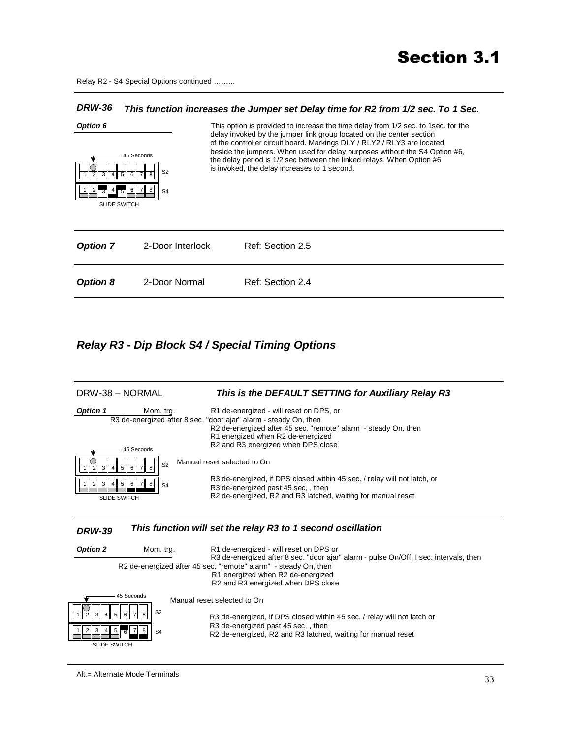Relay R2 - S4 Special Options continued ……...

#### *DRW-36 This function increases the Jumper set Delay time for R2 from 1/2 sec. To 1 Sec.*



#### *Relay R3 - Dip Block S4 / Special Timing Options*

| DRW-38 - NORMAL                                                                                                                                                                            | This is the DEFAULT SETTING for Auxiliary Relay R3                                                                                                                                                                                                                                                                                                                                                                                                                        |
|--------------------------------------------------------------------------------------------------------------------------------------------------------------------------------------------|---------------------------------------------------------------------------------------------------------------------------------------------------------------------------------------------------------------------------------------------------------------------------------------------------------------------------------------------------------------------------------------------------------------------------------------------------------------------------|
| <b>Option 1</b><br>Mom. trg.<br>45 Seconds<br>S <sub>2</sub><br>$\overline{4}$ 5 6<br>$7\overline{8}$<br>$\overline{3}$<br>5<br>4<br>6 <br>8<br>3<br>S <sub>4</sub><br><b>SLIDE SWITCH</b> | R1 de-energized - will reset on DPS, or<br>R3 de-energized after 8 sec. "door ajar" alarm - steady On, then<br>R2 de-energized after 45 sec. "remote" alarm - steady On, then<br>R1 energized when R2 de-energized<br>R2 and R3 energized when DPS close<br>Manual reset selected to On<br>R3 de-energized, if DPS closed within 45 sec. / relay will not latch, or<br>R3 de-energized past 45 sec,, then<br>R2 de-energized, R2 and R3 latched, waiting for manual reset |

#### *DRW-39 This function will set the relay R3 to 1 second oscillation*

| Option 2<br>Mom. trg. |                       |                | R1 de-energized - will reset on DPS or                                                                                                                                                                                              |
|-----------------------|-----------------------|----------------|-------------------------------------------------------------------------------------------------------------------------------------------------------------------------------------------------------------------------------------|
|                       |                       |                | R3 de-energized after 8 sec. "door ajar" alarm - pulse On/Off, I sec. intervals, then<br>R2 de-energized after 45 sec. "remote" alarm" - steady On, then<br>R1 energized when R2 de-energized<br>R2 and R3 energized when DPS close |
| 45<br>3               | 45 Seconds<br>6       | S <sub>2</sub> | Manual reset selected to On<br>R3 de-energized, if DPS closed within 45 sec. / relay will not latch or                                                                                                                              |
| 3                     | $.4$ 5 $\overline{6}$ | S <sub>4</sub> | R3 de-energized past 45 sec., then<br>R2 de-energized, R2 and R3 latched, waiting for manual reset                                                                                                                                  |
| <b>SLIDE SWITCH</b>   |                       |                |                                                                                                                                                                                                                                     |

Alt.= Alternate Mode Terminals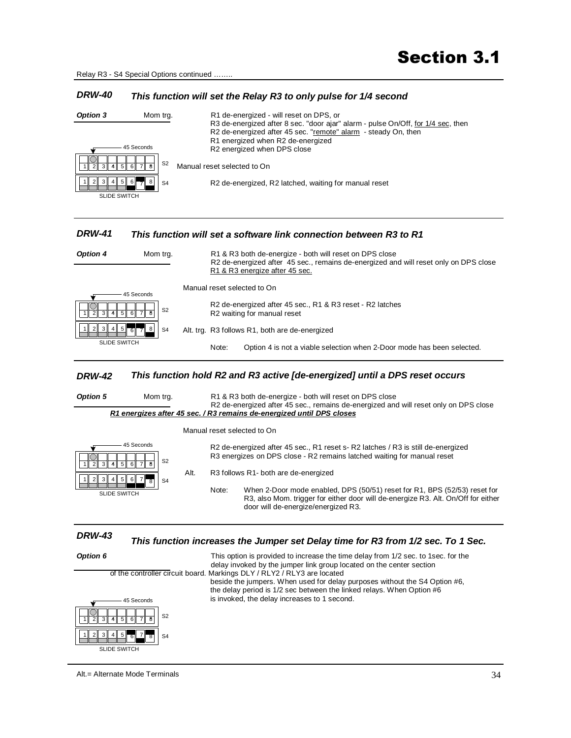Relay R3 - S4 Special Options continued ……..

#### *DRW-40 This function will set the Relay R3 to only pulse for 1/4 second*

| Option 3                                   | Mom trg.       | R1 de-energized - will reset on DPS, or                                                                                                                                                                                |
|--------------------------------------------|----------------|------------------------------------------------------------------------------------------------------------------------------------------------------------------------------------------------------------------------|
| 45 Seconds                                 |                | R3 de-energized after 8 sec. "door ajar" alarm - pulse On/Off, for 1/4 sec, then<br>R2 de-energized after 45 sec. "remote" alarm - steady On, then<br>R1 energized when R2 de-energized<br>R2 energized when DPS close |
| $4$ 5<br>ৰ⊺<br>$6$ 7 $8$<br>2 <sub>1</sub> | S <sub>2</sub> | Manual reset selected to On                                                                                                                                                                                            |
| $3$ 4 5 6 $7$                              | S <sub>4</sub> | R <sub>2</sub> de-energized, R <sub>2</sub> latched, waiting for manual reset                                                                                                                                          |
| <b>SLIDE SWITCH</b>                        |                |                                                                                                                                                                                                                        |

#### *DRW-41 This function will set a software link connection between R3 to R1*

| <b>Option 4</b><br>Mom trg.            |                | R1 & R3 both de-energize - both will reset on DPS close<br>R2 de-energized after 45 sec., remains de-energized and will reset only on DPS close |  |
|----------------------------------------|----------------|-------------------------------------------------------------------------------------------------------------------------------------------------|--|
|                                        |                | R1 & R3 energize after 45 sec.                                                                                                                  |  |
|                                        | 45 Seconds     | Manual reset selected to On                                                                                                                     |  |
| 5<br>3 <sup>  </sup><br>6 <sup>1</sup> | S <sub>2</sub> | R2 de-energized after 45 sec., R1 & R3 reset - R2 latches<br>R2 waiting for manual reset                                                        |  |
| 3<br>$ 4 5 $ 6                         | S <sub>4</sub> | Alt. trg. R3 follows R1, both are de-energized                                                                                                  |  |
| <b>SLIDE SWITCH</b>                    |                | Note:<br>Option 4 is not a viable selection when 2-Door mode has been selected.                                                                 |  |

#### *DRW-42 This function hold R2 and R3 active [de-energized] until a DPS reset occurs*



 Manual reset selected to On R2 de-energized after 45 sec., R1 reset s- R2 latches / R3 is still de-energized R3 energizes on DPS close - R2 remains latched waiting for manual reset Alt. R3 follows R1- both are de-energized Note: When 2-Door mode enabled, DPS (50/51) reset for R1, BPS (52/53) reset for R3, also Mom. trigger for either door will de-energize R3. Alt. On/Off for either door will de-energize/energized R3. 2 1 2 3 4 5 6 7 8 SLIDE SWITCH 1 || 2 || 3 || 4  $\frac{1}{4}$  5 6 7 8 . S2 S4 45 Seconds

#### *DRW-43 This function increases the Jumper set Delay time for R3 from 1/2 sec. To 1 Sec.*

| Option 6                                                                        | This option is provided to increase the time delay from 1/2 sec. to 1 sec. for the<br>delay invoked by the jumper link group located on the center section |
|---------------------------------------------------------------------------------|------------------------------------------------------------------------------------------------------------------------------------------------------------|
|                                                                                 | of the controller circuit board. Markings DLY / RLY2 / RLY3 are located                                                                                    |
|                                                                                 | beside the jumpers. When used for delay purposes without the S4 Option #6,<br>the delay period is 1/2 sec between the linked relays. When Option #6        |
| 45 Seconds                                                                      | is invoked, the delay increases to 1 second.                                                                                                               |
| S <sub>2</sub><br>$\overline{3}$<br>$\overline{4}$<br>5 <sub>  </sub><br>8<br>6 |                                                                                                                                                            |
| $\mathcal{R}$<br>5 <sup>1</sup><br>4 <sup>1</sup><br>S <sub>4</sub><br>ିଶ<br>R  |                                                                                                                                                            |
| <b>SLIDE SWITCH</b>                                                             |                                                                                                                                                            |

Alt.= Alternate Mode Terminals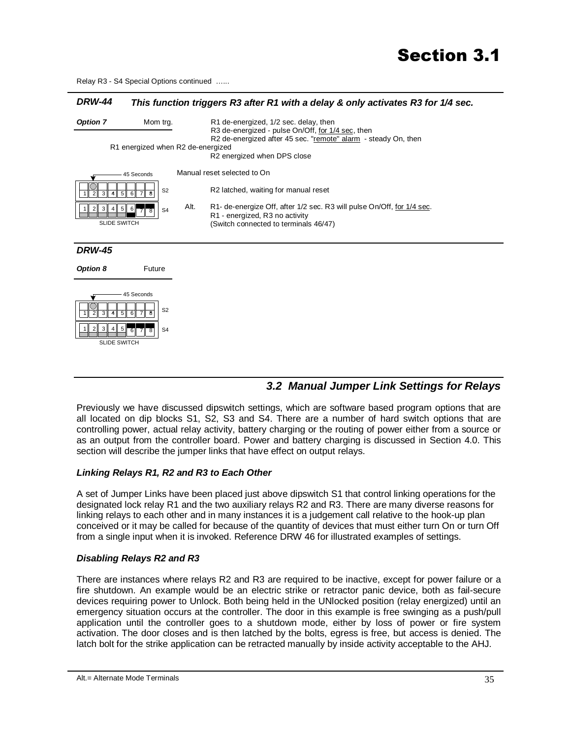Relay R3 - S4 Special Options continued …...

#### *DRW-44 This function triggers R3 after R1 with a delay & only activates R3 for 1/4 sec.*



#### *3.2 Manual Jumper Link Settings for Relays*

Previously we have discussed dipswitch settings, which are software based program options that are all located on dip blocks S1, S2, S3 and S4. There are a number of hard switch options that are controlling power, actual relay activity, battery charging or the routing of power either from a source or as an output from the controller board. Power and battery charging is discussed in Section 4.0. This section will describe the jumper links that have effect on output relays.

#### *Linking Relays R1, R2 and R3 to Each Other*

A set of Jumper Links have been placed just above dipswitch S1 that control linking operations for the designated lock relay R1 and the two auxiliary relays R2 and R3. There are many diverse reasons for linking relays to each other and in many instances it is a judgement call relative to the hook-up plan conceived or it may be called for because of the quantity of devices that must either turn On or turn Off from a single input when it is invoked. Reference DRW 46 for illustrated examples of settings.

#### *Disabling Relays R2 and R3*

There are instances where relays R2 and R3 are required to be inactive, except for power failure or a fire shutdown. An example would be an electric strike or retractor panic device, both as fail-secure devices requiring power to Unlock. Both being held in the UNlocked position (relay energized) until an emergency situation occurs at the controller. The door in this example is free swinging as a push/pull application until the controller goes to a shutdown mode, either by loss of power or fire system activation. The door closes and is then latched by the bolts, egress is free, but access is denied. The latch bolt for the strike application can be retracted manually by inside activity acceptable to the AHJ.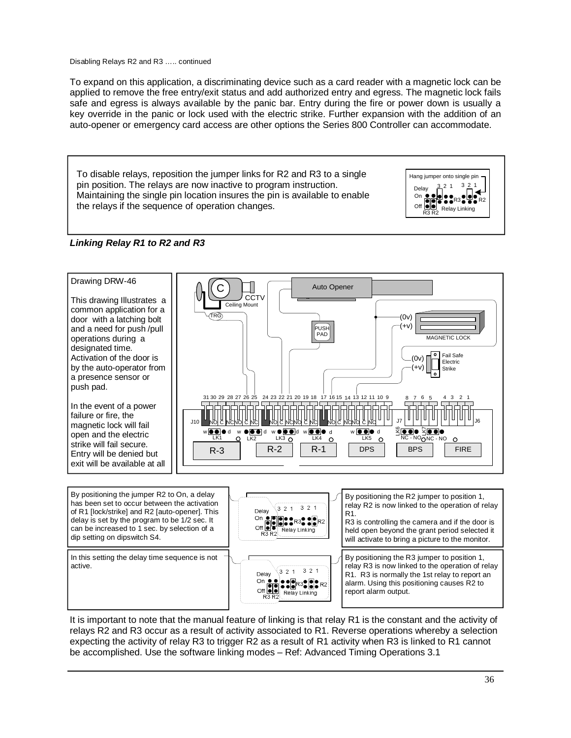Disabling Relays R2 and R3 ….. continued

To expand on this application, a discriminating device such as a card reader with a magnetic lock can be applied to remove the free entry/exit status and add authorized entry and egress. The magnetic lock fails safe and egress is always available by the panic bar. Entry during the fire or power down is usually a key override in the panic or lock used with the electric strike. Further expansion with the addition of an auto-opener or emergency card access are other options the Series 800 Controller can accommodate.

To disable relays, reposition the jumper links for R2 and R3 to a single pin position. The relays are now inactive to program instruction. Maintaining the single pin location insures the pin is available to enable the relays if the sequence of operation changes.



#### *Linking Relay R1 to R2 and R3*



It is important to note that the manual feature of linking is that relay R1 is the constant and the activity of relays R2 and R3 occur as a result of activity associated to R1. Reverse operations whereby a selection expecting the activity of relay R3 to trigger R2 as a result of R1 activity when R3 is linked to R1 cannot be accomplished. Use the software linking modes – Ref: Advanced Timing Operations 3.1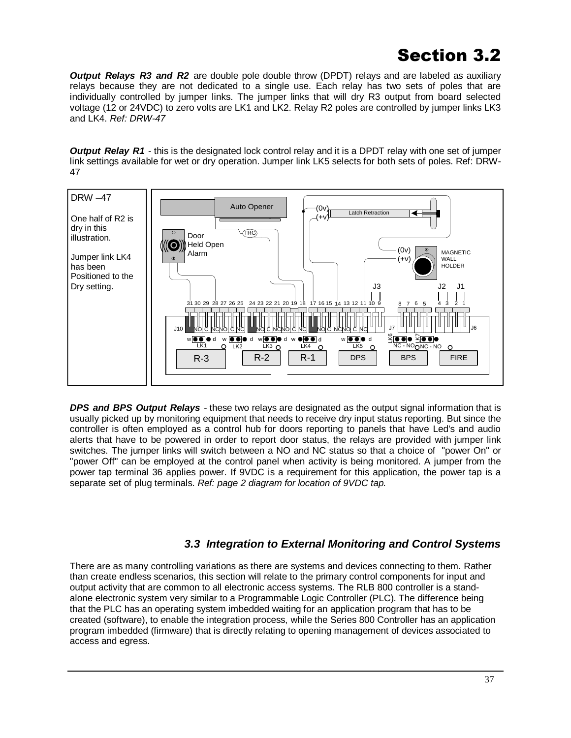*Output Relays R3 and R2* are double pole double throw (DPDT) relays and are labeled as auxiliary relays because they are not dedicated to a single use. Each relay has two sets of poles that are individually controlled by jumper links. The jumper links that will dry R3 output from board selected voltage (12 or 24VDC) to zero volts are LK1 and LK2. Relay R2 poles are controlled by jumper links LK3 and LK4. *Ref: DRW-47* 

*Output Relay R1* - this is the designated lock control relay and it is a DPDT relay with one set of jumper link settings available for wet or dry operation. Jumper link LK5 selects for both sets of poles. Ref: DRW-47



*DPS and BPS Output Relays* - these two relays are designated as the output signal information that is usually picked up by monitoring equipment that needs to receive dry input status reporting. But since the controller is often employed as a control hub for doors reporting to panels that have Led's and audio alerts that have to be powered in order to report door status, the relays are provided with jumper link switches. The jumper links will switch between a NO and NC status so that a choice of "power On" or "power Off" can be employed at the control panel when activity is being monitored. A jumper from the power tap terminal 36 applies power. If 9VDC is a requirement for this application, the power tap is a separate set of plug terminals. *Ref: page 2 diagram for location of 9VDC tap.* 

#### *3.3 Integration to External Monitoring and Control Systems*

There are as many controlling variations as there are systems and devices connecting to them. Rather than create endless scenarios, this section will relate to the primary control components for input and output activity that are common to all electronic access systems. The RLB 800 controller is a standalone electronic system very similar to a Programmable Logic Controller (PLC). The difference being that the PLC has an operating system imbedded waiting for an application program that has to be created (software), to enable the integration process, while the Series 800 Controller has an application program imbedded (firmware) that is directly relating to opening management of devices associated to access and egress.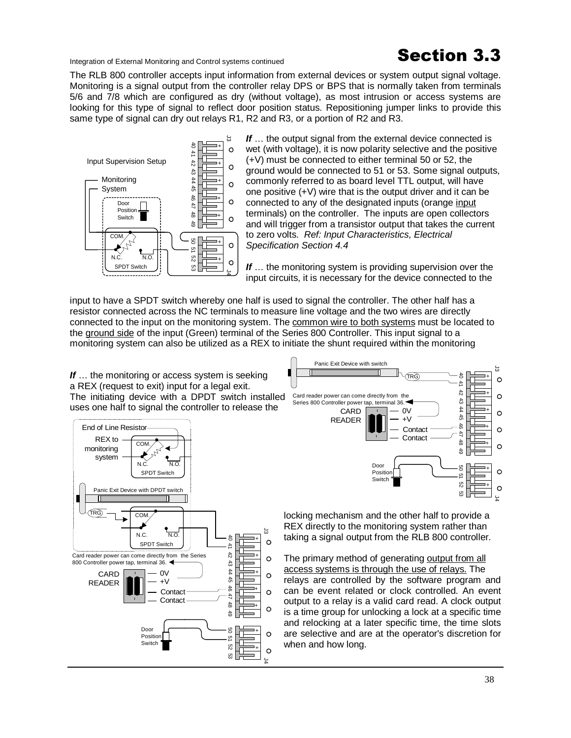Integration of External Monitoring and Control systems continued<br> **Section 3.3** 

The RLB 800 controller accepts input information from external devices or system output signal voltage. Monitoring is a signal output from the controller relay DPS or BPS that is normally taken from terminals 5/6 and 7/8 which are configured as dry (without voltage), as most intrusion or access systems are looking for this type of signal to reflect door position status. Repositioning jumper links to provide this same type of signal can dry out relays R1, R2 and R3, or a portion of R2 and R3.



**If** ... the output signal from the external device connected is wet (with voltage), it is now polarity selective and the positive (+V) must be connected to either terminal 50 or 52, the ground would be connected to 51 or 53. Some signal outputs, commonly referred to as board level TTL output, will have one positive (+V) wire that is the output driver and it can be connected to any of the designated inputs (orange input terminals) on the controller. The inputs are open collectors and will trigger from a transistor output that takes the current to zero volts. *Ref: Input Characteristics, Electrical Specification Section 4.4* 

*If* … the monitoring system is providing supervision over the input circuits, it is necessary for the device connected to the

input to have a SPDT switch whereby one half is used to signal the controller. The other half has a resistor connected across the NC terminals to measure line voltage and the two wires are directly connected to the input on the monitoring system. The common wire to both systems must be located to the ground side of the input (Green) terminal of the Series 800 Controller. This input signal to a monitoring system can also be utilized as a REX to initiate the shunt required within the monitoring

If ... the monitoring or access system is seeking a REX (request to exit) input for a legal exit. The initiating device with a DPDT switch installed uses one half to signal the controller to release the





locking mechanism and the other half to provide a REX directly to the monitoring system rather than taking a signal output from the RLB 800 controller.

The primary method of generating output from all access systems is through the use of relays. The relays are controlled by the software program and can be event related or clock controlled. An event output to a relay is a valid card read. A clock output is a time group for unlocking a lock at a specific time and relocking at a later specific time, the time slots are selective and are at the operator's discretion for when and how long.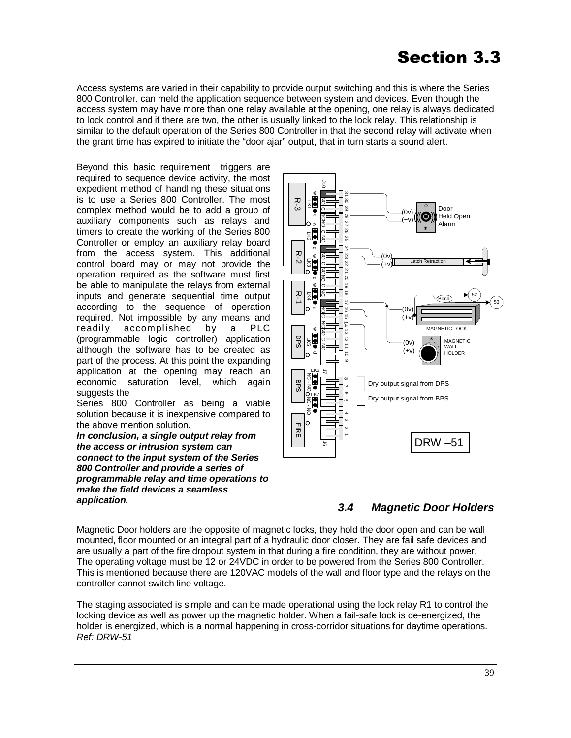Access systems are varied in their capability to provide output switching and this is where the Series 800 Controller. can meld the application sequence between system and devices. Even though the access system may have more than one relay available at the opening, one relay is always dedicated to lock control and if there are two, the other is usually linked to the lock relay. This relationship is similar to the default operation of the Series 800 Controller in that the second relay will activate when the grant time has expired to initiate the "door ajar" output, that in turn starts a sound alert.

Beyond this basic requirement triggers are required to sequence device activity, the most expedient method of handling these situations is to use a Series 800 Controller. The most complex method would be to add a group of auxiliary components such as relays and timers to create the working of the Series 800 Controller or employ an auxiliary relay board from the access system. This additional control board may or may not provide the operation required as the software must first be able to manipulate the relays from external inputs and generate sequential time output according to the sequence of operation required. Not impossible by any means and readily accomplished by a PLC (programmable logic controller) application although the software has to be created as part of the process. At this point the expanding application at the opening may reach an economic saturation level, which again suggests the

Series 800 Controller as being a viable solution because it is inexpensive compared to the above mention solution.

*In conclusion, a single output relay from the access or intrusion system can connect to the input system of the Series 800 Controller and provide a series of programmable relay and time operations to make the field devices a seamless application.* 





Magnetic Door holders are the opposite of magnetic locks, they hold the door open and can be wall mounted, floor mounted or an integral part of a hydraulic door closer. They are fail safe devices and are usually a part of the fire dropout system in that during a fire condition, they are without power. The operating voltage must be 12 or 24VDC in order to be powered from the Series 800 Controller. This is mentioned because there are 120VAC models of the wall and floor type and the relays on the controller cannot switch line voltage.

The staging associated is simple and can be made operational using the lock relay R1 to control the locking device as well as power up the magnetic holder. When a fail-safe lock is de-energized, the holder is energized, which is a normal happening in cross-corridor situations for daytime operations. *Ref: DRW-51*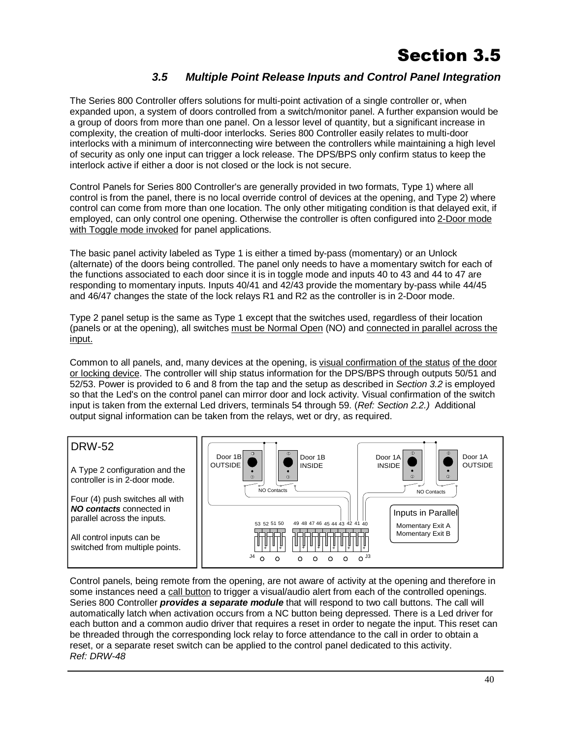### *3.5 Multiple Point Release Inputs and Control Panel Integration*

The Series 800 Controller offers solutions for multi-point activation of a single controller or, when expanded upon, a system of doors controlled from a switch/monitor panel. A further expansion would be a group of doors from more than one panel. On a lessor level of quantity, but a significant increase in complexity, the creation of multi-door interlocks. Series 800 Controller easily relates to multi-door interlocks with a minimum of interconnecting wire between the controllers while maintaining a high level of security as only one input can trigger a lock release. The DPS/BPS only confirm status to keep the interlock active if either a door is not closed or the lock is not secure.

Control Panels for Series 800 Controller's are generally provided in two formats, Type 1) where all control is from the panel, there is no local override control of devices at the opening, and Type 2) where control can come from more than one location. The only other mitigating condition is that delayed exit, if employed, can only control one opening. Otherwise the controller is often configured into 2-Door mode with Toggle mode invoked for panel applications.

The basic panel activity labeled as Type 1 is either a timed by-pass (momentary) or an Unlock (alternate) of the doors being controlled. The panel only needs to have a momentary switch for each of the functions associated to each door since it is in toggle mode and inputs 40 to 43 and 44 to 47 are responding to momentary inputs. Inputs 40/41 and 42/43 provide the momentary by-pass while 44/45 and 46/47 changes the state of the lock relays R1 and R2 as the controller is in 2-Door mode.

Type 2 panel setup is the same as Type 1 except that the switches used, regardless of their location (panels or at the opening), all switches must be Normal Open (NO) and connected in parallel across the input.

Common to all panels, and, many devices at the opening, is visual confirmation of the status of the door or locking device. The controller will ship status information for the DPS/BPS through outputs 50/51 and 52/53. Power is provided to 6 and 8 from the tap and the setup as described in *Section 3.2* is employed so that the Led's on the control panel can mirror door and lock activity. Visual confirmation of the switch input is taken from the external Led drivers, terminals 54 through 59. (*Ref: Section 2.2.)* Additional output signal information can be taken from the relays, wet or dry, as required.



Control panels, being remote from the opening, are not aware of activity at the opening and therefore in some instances need a call button to trigger a visual/audio alert from each of the controlled openings. Series 800 Controller *provides a separate module* that will respond to two call buttons. The call will automatically latch when activation occurs from a NC button being depressed. There is a Led driver for each button and a common audio driver that requires a reset in order to negate the input. This reset can be threaded through the corresponding lock relay to force attendance to the call in order to obtain a reset, or a separate reset switch can be applied to the control panel dedicated to this activity. *Ref: DRW-48*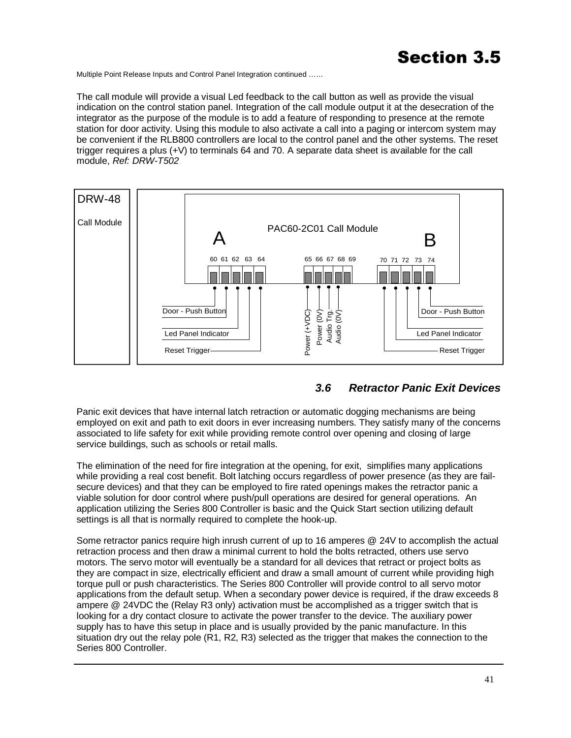Multiple Point Release Inputs and Control Panel Integration continued ……

The call module will provide a visual Led feedback to the call button as well as provide the visual indication on the control station panel. Integration of the call module output it at the desecration of the integrator as the purpose of the module is to add a feature of responding to presence at the remote station for door activity. Using this module to also activate a call into a paging or intercom system may be convenient if the RLB800 controllers are local to the control panel and the other systems. The reset trigger requires a plus (+V) to terminals 64 and 70. A separate data sheet is available for the call module, *Ref: DRW-T502* 



### *3.6 Retractor Panic Exit Devices*

Panic exit devices that have internal latch retraction or automatic dogging mechanisms are being employed on exit and path to exit doors in ever increasing numbers. They satisfy many of the concerns associated to life safety for exit while providing remote control over opening and closing of large service buildings, such as schools or retail malls.

The elimination of the need for fire integration at the opening, for exit, simplifies many applications while providing a real cost benefit. Bolt latching occurs regardless of power presence (as they are failsecure devices) and that they can be employed to fire rated openings makes the retractor panic a viable solution for door control where push/pull operations are desired for general operations. An application utilizing the Series 800 Controller is basic and the Quick Start section utilizing default settings is all that is normally required to complete the hook-up.

Some retractor panics require high inrush current of up to 16 amperes @ 24V to accomplish the actual retraction process and then draw a minimal current to hold the bolts retracted, others use servo motors. The servo motor will eventually be a standard for all devices that retract or project bolts as they are compact in size, electrically efficient and draw a small amount of current while providing high torque pull or push characteristics. The Series 800 Controller will provide control to all servo motor applications from the default setup. When a secondary power device is required, if the draw exceeds 8 ampere @ 24VDC the (Relay R3 only) activation must be accomplished as a trigger switch that is looking for a dry contact closure to activate the power transfer to the device. The auxiliary power supply has to have this setup in place and is usually provided by the panic manufacture. In this situation dry out the relay pole (R1, R2, R3) selected as the trigger that makes the connection to the Series 800 Controller.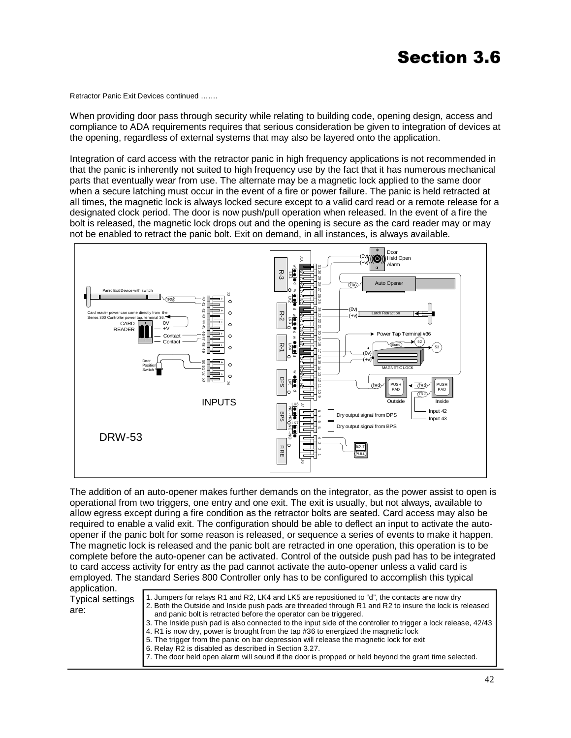Retractor Panic Exit Devices continued …….

When providing door pass through security while relating to building code, opening design, access and compliance to ADA requirements requires that serious consideration be given to integration of devices at the opening, regardless of external systems that may also be layered onto the application.

Integration of card access with the retractor panic in high frequency applications is not recommended in that the panic is inherently not suited to high frequency use by the fact that it has numerous mechanical parts that eventually wear from use. The alternate may be a magnetic lock applied to the same door when a secure latching must occur in the event of a fire or power failure. The panic is held retracted at all times, the magnetic lock is always locked secure except to a valid card read or a remote release for a designated clock period. The door is now push/pull operation when released. In the event of a fire the bolt is released, the magnetic lock drops out and the opening is secure as the card reader may or may not be enabled to retract the panic bolt. Exit on demand, in all instances, is always available.



The addition of an auto-opener makes further demands on the integrator, as the power assist to open is operational from two triggers, one entry and one exit. The exit is usually, but not always, available to allow egress except during a fire condition as the retractor bolts are seated. Card access may also be required to enable a valid exit. The configuration should be able to deflect an input to activate the autoopener if the panic bolt for some reason is released, or sequence a series of events to make it happen. The magnetic lock is released and the panic bolt are retracted in one operation, this operation is to be complete before the auto-opener can be activated. Control of the outside push pad has to be integrated to card access activity for entry as the pad cannot activate the auto-opener unless a valid card is employed. The standard Series 800 Controller only has to be configured to accomplish this typical

| application.                    |                                                                                                                                                                                                                                                                                                                                                                                                                                                                                                                                                                                                                                                                                                                                                   |
|---------------------------------|---------------------------------------------------------------------------------------------------------------------------------------------------------------------------------------------------------------------------------------------------------------------------------------------------------------------------------------------------------------------------------------------------------------------------------------------------------------------------------------------------------------------------------------------------------------------------------------------------------------------------------------------------------------------------------------------------------------------------------------------------|
| <b>Typical settings</b><br>are: | 1. Jumpers for relays R1 and R2, LK4 and LK5 are repositioned to "d", the contacts are now dry<br>2. Both the Outside and Inside push pads are threaded through R1 and R2 to insure the lock is released<br>and panic bolt is retracted before the operator can be triggered.<br>3. The Inside push pad is also connected to the input side of the controller to trigger a lock release, 42/43<br>4. R1 is now dry, power is brought from the tap #36 to energized the magnetic lock<br>5. The trigger from the panic on bar depression will release the magnetic lock for exit<br>6. Relay R2 is disabled as described in Section 3.27.<br>7. The door held open alarm will sound if the door is propped or held beyond the grant time selected. |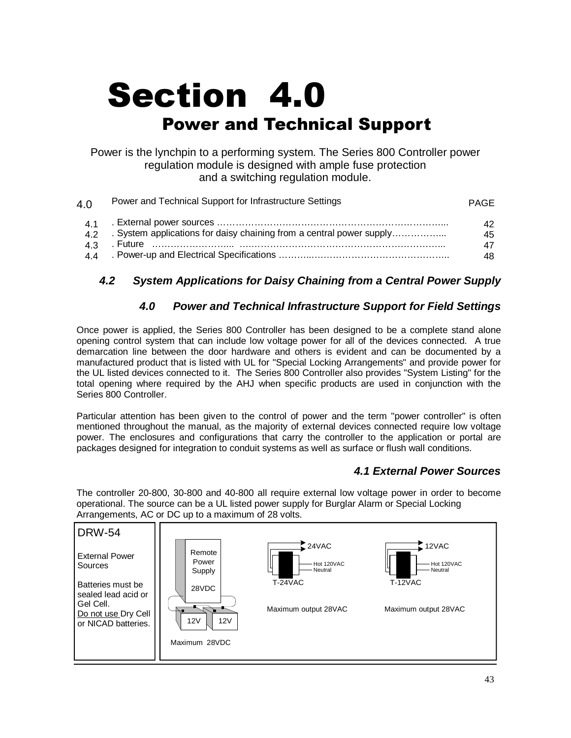# **Section 4.0 Power and Technical Support**

Power is the lynchpin to a performing system. The Series 800 Controller power regulation module is designed with ample fuse protection and a switching regulation module.

| 4.0             | Power and Technical Support for Infrastructure Settings              | <b>PAGE</b>     |
|-----------------|----------------------------------------------------------------------|-----------------|
| 43              | . System applications for daisy chaining from a central power supply | 42.<br>45<br>47 |
| $\Delta \Delta$ |                                                                      | 48              |

### *4.2 System Applications for Daisy Chaining from a Central Power Supply*

#### *4.0 Power and Technical Infrastructure Support for Field Settings*

Once power is applied, the Series 800 Controller has been designed to be a complete stand alone opening control system that can include low voltage power for all of the devices connected. A true demarcation line between the door hardware and others is evident and can be documented by a manufactured product that is listed with UL for "Special Locking Arrangements" and provide power for the UL listed devices connected to it. The Series 800 Controller also provides "System Listing" for the total opening where required by the AHJ when specific products are used in conjunction with the Series 800 Controller.

Particular attention has been given to the control of power and the term "power controller" is often mentioned throughout the manual, as the majority of external devices connected require low voltage power. The enclosures and configurations that carry the controller to the application or portal are packages designed for integration to conduit systems as well as surface or flush wall conditions.

#### *4.1 External Power Sources*

The controller 20-800, 30-800 and 40-800 all require external low voltage power in order to become operational. The source can be a UL listed power supply for Burglar Alarm or Special Locking Arrangements, AC or DC up to a maximum of 28 volts.

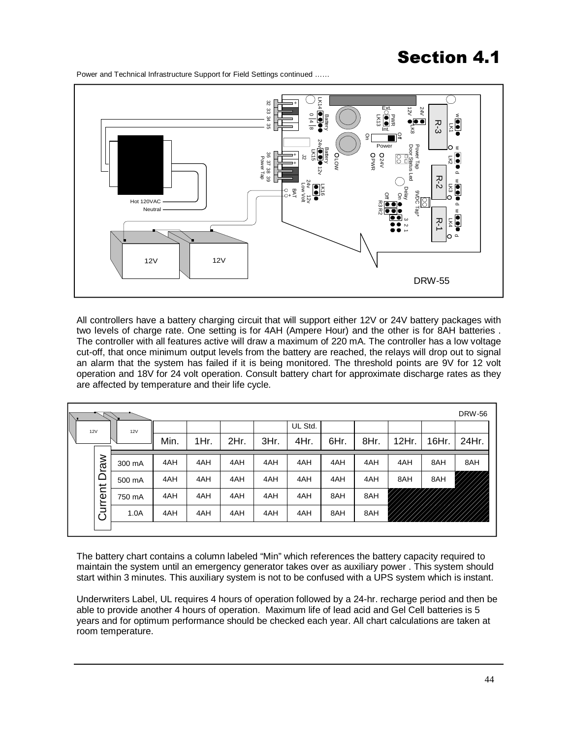Power and Technical Infrastructure Support for Field Settings continued ……



All controllers have a battery charging circuit that will support either 12V or 24V battery packages with two levels of charge rate. One setting is for 4AH (Ampere Hour) and the other is for 8AH batteries . The controller with all features active will draw a maximum of 220 mA. The controller has a low voltage cut-off, that once minimum output levels from the battery are reached, the relays will drop out to signal an alarm that the system has failed if it is being monitored. The threshold points are 9V for 12 volt operation and 18V for 24 volt operation. Consult battery chart for approximate discharge rates as they are affected by temperature and their life cycle.

|     |                 |        |      |      |      |      |         |      |      |       |       | <b>DRW-56</b> |
|-----|-----------------|--------|------|------|------|------|---------|------|------|-------|-------|---------------|
| 12V |                 | 12V    |      |      |      |      | UL Std. |      |      |       |       |               |
|     |                 |        | Min. | 1Hr. | 2Hr. | 3Hr. | 4Hr.    | 6Hr. | 8Hr. | 12Hr. | 16Hr. | 24Hr.         |
|     | Draw<br>Current | 300 mA | 4AH  | 4AH  | 4AH  | 4AH  | 4AH     | 4AH  | 4AH  | 4AH   | 8AH   | 8AH           |
|     |                 | 500 mA | 4AH  | 4AH  | 4AH  | 4AH  | 4AH     | 4AH  | 4AH  | 8AH   | 8AH   |               |
|     |                 | 750 mA | 4AH  | 4AH  | 4AH  | 4AH  | 4AH     | 8AH  | 8AH  |       |       |               |
|     |                 | 1.0A   | 4AH  | 4AH  | 4AH  | 4AH  | 4AH     | 8AH  | 8AH  |       |       |               |
|     |                 |        |      |      |      |      |         |      |      |       |       |               |

The battery chart contains a column labeled "Min" which references the battery capacity required to maintain the system until an emergency generator takes over as auxiliary power . This system should start within 3 minutes. This auxiliary system is not to be confused with a UPS system which is instant.

Underwriters Label, UL requires 4 hours of operation followed by a 24-hr. recharge period and then be able to provide another 4 hours of operation. Maximum life of lead acid and Gel Cell batteries is 5 years and for optimum performance should be checked each year. All chart calculations are taken at room temperature.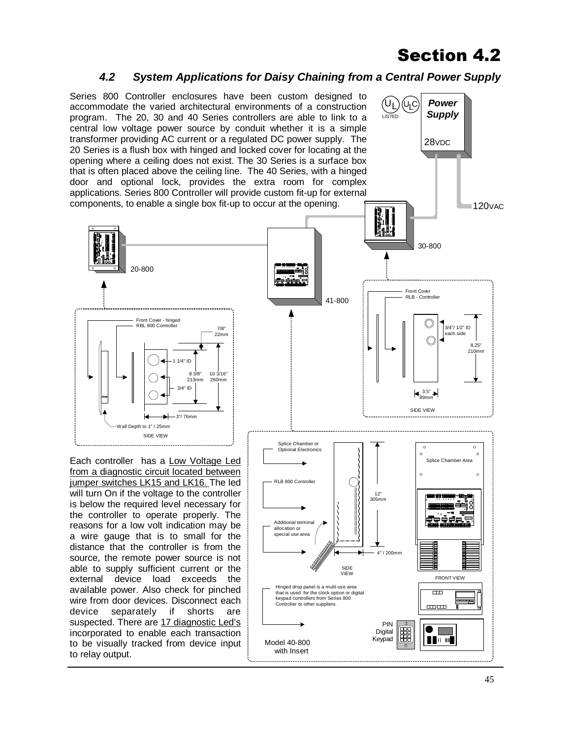#### *4.2 System Applications for Daisy Chaining from a Central Power Supply*

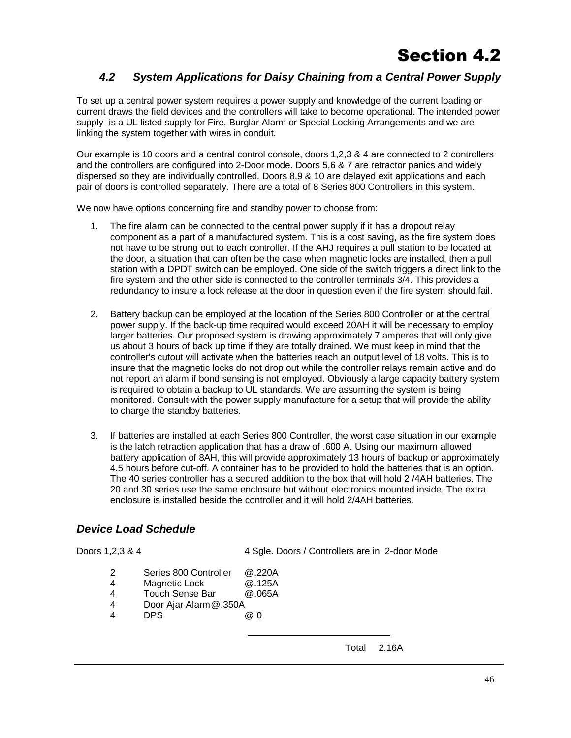#### *4.2 System Applications for Daisy Chaining from a Central Power Supply*

To set up a central power system requires a power supply and knowledge of the current loading or current draws the field devices and the controllers will take to become operational. The intended power supply is a UL listed supply for Fire, Burglar Alarm or Special Locking Arrangements and we are linking the system together with wires in conduit.

Our example is 10 doors and a central control console, doors 1,2,3 & 4 are connected to 2 controllers and the controllers are configured into 2-Door mode. Doors 5,6 & 7 are retractor panics and widely dispersed so they are individually controlled. Doors 8,9 & 10 are delayed exit applications and each pair of doors is controlled separately. There are a total of 8 Series 800 Controllers in this system.

We now have options concerning fire and standby power to choose from:

- The fire alarm can be connected to the central power supply if it has a dropout relay component as a part of a manufactured system. This is a cost saving, as the fire system does not have to be strung out to each controller. If the AHJ requires a pull station to be located at the door, a situation that can often be the case when magnetic locks are installed, then a pull station with a DPDT switch can be employed. One side of the switch triggers a direct link to the fire system and the other side is connected to the controller terminals 3/4. This provides a redundancy to insure a lock release at the door in question even if the fire system should fail. 1.
- Battery backup can be employed at the location of the Series 800 Controller or at the central power supply. If the back-up time required would exceed 20AH it will be necessary to employ larger batteries. Our proposed system is drawing approximately 7 amperes that will only give us about 3 hours of back up time if they are totally drained. We must keep in mind that the controller's cutout will activate when the batteries reach an output level of 18 volts. This is to insure that the magnetic locks do not drop out while the controller relays remain active and do not report an alarm if bond sensing is not employed. Obviously a large capacity battery system is required to obtain a backup to UL standards. We are assuming the system is being monitored. Consult with the power supply manufacture for a setup that will provide the ability to charge the standby batteries. 2.
- If batteries are installed at each Series 800 Controller, the worst case situation in our example 3. is the latch retraction application that has a draw of .600 A. Using our maximum allowed battery application of 8AH, this will provide approximately 13 hours of backup or approximately 4.5 hours before cut-off. A container has to be provided to hold the batteries that is an option. The 40 series controller has a secured addition to the box that will hold 2 /4AH batteries. The 20 and 30 series use the same enclosure but without electronics mounted inside. The extra enclosure is installed beside the controller and it will hold 2/4AH batteries.

#### *Device Load Schedule*

Doors 1,2,3 & 4 4 Sgle. Doors / Controllers are in 2-door Mode

- 2 Series 800 Controller @.220A
- 4 Magnetic Lock @.125A
- 4 Touch Sense Bar @.065A
- 4 Door Ajar Alarm @.350A
- 4 DPS @ 0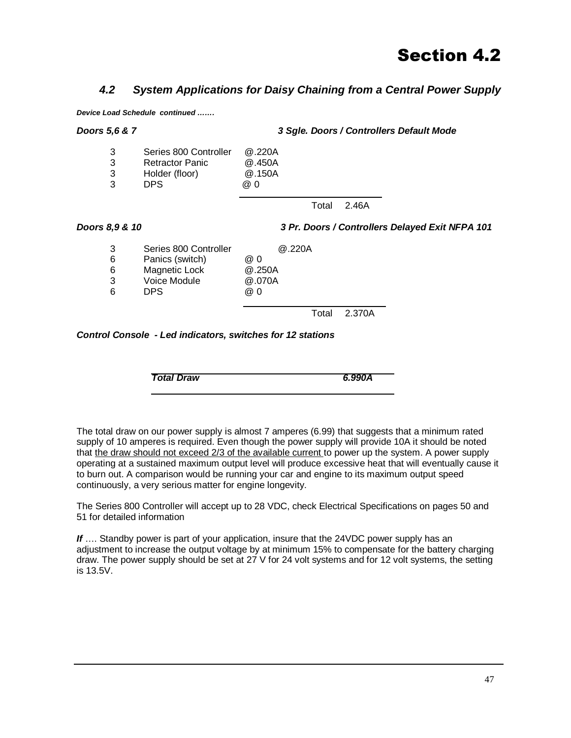#### *4.2 System Applications for Daisy Chaining from a Central Power Supply*

*Device Load Schedule continued …….* 

### *Doors 5,6 & 7 3 Sgle. Doors / Controllers Default Mode*  3 Series 800 Controller @.220A 3 Retractor Panic @.450A 3 Holder (floor) @.150A 3 DPS @ 0 Total 2.46A *Doors 8,9 & 10 3 Pr. Doors / Controllers Delayed Exit NFPA 101*  3 Series 800 Controller @.220A 6 Panics (switch) @ 0 6 Magnetic Lock @.250A 3 Voice Module @.070A 6 DPS @ 0 Total 2.370A *Control Console - Led indicators, switches for 12 stations*

*Total Draw 6.990A* 

The total draw on our power supply is almost 7 amperes (6.99) that suggests that a minimum rated supply of 10 amperes is required. Even though the power supply will provide 10A it should be noted that the draw should not exceed 2/3 of the available current to power up the system. A power supply operating at a sustained maximum output level will produce excessive heat that will eventually cause it to burn out. A comparison would be running your car and engine to its maximum output speed continuously, a very serious matter for engine longevity.

The Series 800 Controller will accept up to 28 VDC, check Electrical Specifications on pages 50 and 51 for detailed information

**If** .... Standby power is part of your application, insure that the 24VDC power supply has an adjustment to increase the output voltage by at minimum 15% to compensate for the battery charging draw. The power supply should be set at 27 V for 24 volt systems and for 12 volt systems, the setting is 13.5V.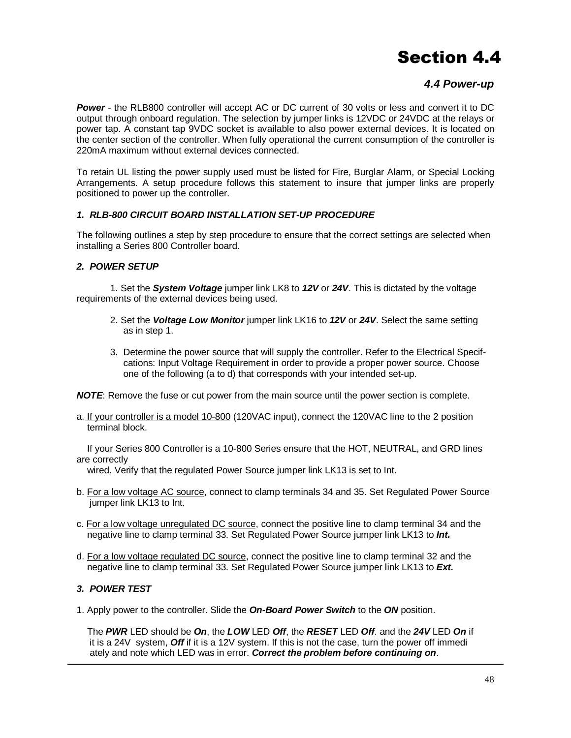#### *4.4 Power-up*

**Power** - the RLB800 controller will accept AC or DC current of 30 volts or less and convert it to DC output through onboard regulation. The selection by jumper links is 12VDC or 24VDC at the relays or power tap. A constant tap 9VDC socket is available to also power external devices. It is located on the center section of the controller. When fully operational the current consumption of the controller is 220mA maximum without external devices connected.

To retain UL listing the power supply used must be listed for Fire, Burglar Alarm, or Special Locking Arrangements. A setup procedure follows this statement to insure that jumper links are properly positioned to power up the controller.

#### *1. RLB-800 CIRCUIT BOARD INSTALLATION SET-UP PROCEDURE*

The following outlines a step by step procedure to ensure that the correct settings are selected when installing a Series 800 Controller board.

#### *2. POWER SETUP*

 1. Set the *System Voltage* jumper link LK8 to *12V* or *24V*. This is dictated by the voltage requirements of the external devices being used.

- 2. Set the *Voltage Low Monitor* jumper link LK16 to *12V* or *24V*. Select the same setting as in step 1.
- 3. Determine the power source that will supply the controller. Refer to the Electrical Specif cations: Input Voltage Requirement in order to provide a proper power source. Choose one of the following (a to d) that corresponds with your intended set-up.

*NOTE*: Remove the fuse or cut power from the main source until the power section is complete.

a. If your controller is a model 10-800 (120VAC input), connect the 120VAC line to the 2 position terminal block.

 If your Series 800 Controller is a 10-800 Series ensure that the HOT, NEUTRAL, and GRD lines are correctly

wired. Verify that the regulated Power Source jumper link LK13 is set to Int.

- b. For a low voltage AC source, connect to clamp terminals 34 and 35. Set Regulated Power Source jumper link LK13 to Int.
- c. For a low voltage unregulated DC source, connect the positive line to clamp terminal 34 and the negative line to clamp terminal 33. Set Regulated Power Source jumper link LK13 to *Int.*
- d. For a low voltage regulated DC source, connect the positive line to clamp terminal 32 and the negative line to clamp terminal 33. Set Regulated Power Source jumper link LK13 to *Ext.*

#### *3. POWER TEST*

1. Apply power to the controller. Slide the *On-Board Power Switch* to the *ON* position.

 The *PWR* LED should be *On*, the *LOW* LED *Off*, the *RESET* LED *Off*. and the *24V* LED *On* if it is a 24V system, *Off* if it is a 12V system. If this is not the case, turn the power off immedi ately and note which LED was in error. *Correct the problem before continuing on*.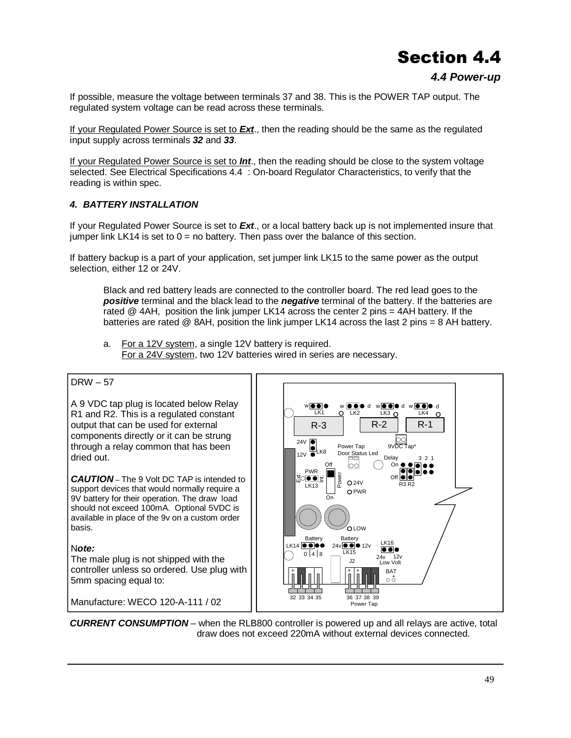#### *4.4 Power-up*

If possible, measure the voltage between terminals 37 and 38. This is the POWER TAP output. The regulated system voltage can be read across these terminals.

If your Regulated Power Source is set to *Ext*., then the reading should be the same as the regulated input supply across terminals *32* and *33*.

If your Regulated Power Source is set to *Int*., then the reading should be close to the system voltage selected. See Electrical Specifications 4.4 : On-board Regulator Characteristics, to verify that the reading is within spec.

#### *4. BATTERY INSTALLATION*

If your Regulated Power Source is set to *Ext*., or a local battery back up is not implemented insure that jumper link LK14 is set to  $0 =$  no battery. Then pass over the balance of this section.

If battery backup is a part of your application, set jumper link LK15 to the same power as the output selection, either 12 or 24V.

 Black and red battery leads are connected to the controller board. The red lead goes to the *positive* terminal and the black lead to the *negative* terminal of the battery. If the batteries are rated @ 4AH, position the link jumper LK14 across the center 2 pins = 4AH battery. If the batteries are rated  $@$  8AH, position the link jumper LK14 across the last 2 pins = 8 AH battery.

 a. For a 12V system, a single 12V battery is required. For a 24V system, two 12V batteries wired in series are necessary.

#### DRW – 57

A 9 VDC tap plug is located below Relay R1 and R2. This is a regulated constant output that can be used for external components directly or it can be strung through a relay common that has been dried out.

*CAUTION* – The 9 Volt DC TAP is intended to support devices that would normally require a 9V battery for their operation. The draw load should not exceed 100mA. Optional 5VDC is available in place of the 9v on a custom order basis.

#### N*ote:*

The male plug is not shipped with the controller unless so ordered. Use plug with 5mm spacing equal to:

Manufacture: WECO 120-A-111 / 02



*CURRENT CONSUMPTION* – when the RLB800 controller is powered up and all relays are active, total draw does not exceed 220mA without external devices connected.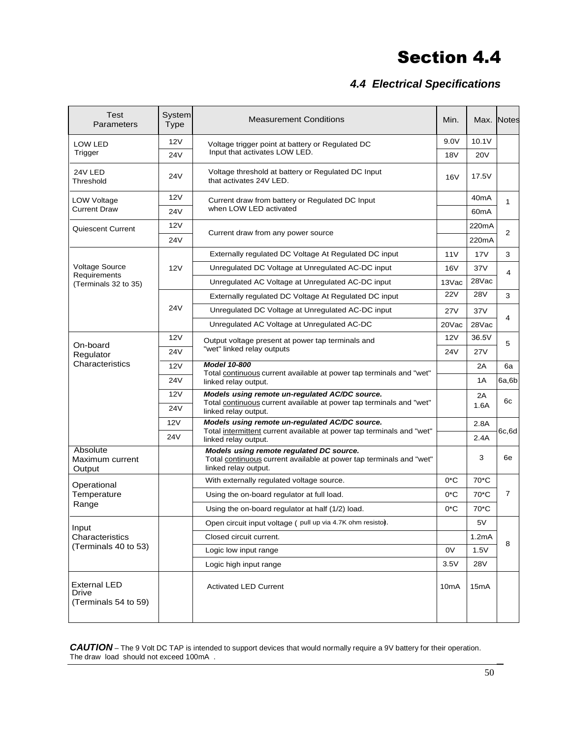### *4.4 Electrical Specifications*

| Test<br>Parameters                                   | System<br><b>Type</b> | <b>Measurement Conditions</b>                                                                                                                   |                   |                   | Max. Notes     |
|------------------------------------------------------|-----------------------|-------------------------------------------------------------------------------------------------------------------------------------------------|-------------------|-------------------|----------------|
| LOW LED                                              | 12V                   | Voltage trigger point at battery or Regulated DC<br>Input that activates LOW LED.                                                               |                   | 10.1V             |                |
| Trigger                                              | 24V                   |                                                                                                                                                 |                   | <b>20V</b>        |                |
| 24V LED<br>Threshold                                 | <b>24V</b>            | Voltage threshold at battery or Regulated DC Input<br>that activates 24V LED.                                                                   | 16V               | 17.5V             |                |
| LOW Voltage                                          | 12V                   | Current draw from battery or Regulated DC Input<br>when LOW LED activated                                                                       |                   | 40 <sub>m</sub> A | $\mathbf{1}$   |
| <b>Current Draw</b>                                  | <b>24V</b>            |                                                                                                                                                 |                   | 60 <sub>m</sub> A |                |
| Quiescent Current                                    | 12V                   | Current draw from any power source                                                                                                              |                   | 220mA             | $\overline{2}$ |
|                                                      | <b>24V</b>            |                                                                                                                                                 |                   | 220mA             |                |
|                                                      | 12V                   | Externally regulated DC Voltage At Regulated DC input                                                                                           | 11V               | 17V               | 3              |
| <b>Voltage Source</b>                                |                       | Unregulated DC Voltage at Unregulated AC-DC input                                                                                               | 16V               | 37V               | 4              |
| Requirements<br>(Terminals 32 to 35)                 |                       | Unregulated AC Voltage at Unregulated AC-DC input                                                                                               | 13Vac             | 28Vac             |                |
|                                                      |                       | Externally regulated DC Voltage At Regulated DC input                                                                                           | <b>22V</b>        | <b>28V</b>        | 3              |
|                                                      | <b>24V</b>            | Unregulated DC Voltage at Unregulated AC-DC input                                                                                               |                   | 37V               |                |
|                                                      |                       | Unregulated AC Voltage at Unregulated AC-DC                                                                                                     | 20Vac             | 28Vac             | 4              |
|                                                      | 12V                   | Output voltage present at power tap terminals and<br>"wet" linked relay outputs                                                                 |                   | 36.5V             | 5              |
| On-board<br>Regulator                                | <b>24V</b>            |                                                                                                                                                 |                   | <b>27V</b>        |                |
| Characteristics                                      | 12V                   | <b>Model 10-800</b><br>Total continuous current available at power tap terminals and "wet"<br>linked relay output.                              |                   | 2A                | 6a             |
|                                                      | <b>24V</b>            |                                                                                                                                                 |                   | 1Α                | 6a, 6b         |
|                                                      | 12V                   | Models using remote un-regulated AC/DC source.<br>Total continuous current available at power tap terminals and "wet"<br>linked relay output.   |                   | 2A                |                |
|                                                      | <b>24V</b>            |                                                                                                                                                 |                   | 1.6A              | 6с             |
|                                                      | 12V                   | Models using remote un-regulated AC/DC source.<br>Total intermittent current available at power tap terminals and "wet"<br>linked relay output. |                   | 2.8A              | 6c, 6d         |
|                                                      | 24V                   |                                                                                                                                                 |                   | 2.4A              |                |
| Absolute<br>Maximum current<br>Output                |                       | Models using remote regulated DC source.<br>Total continuous current available at power tap terminals and "wet"<br>linked relay output.         |                   | 3                 | 6e             |
| Operational                                          |                       | With externally regulated voltage source.                                                                                                       |                   | 70 <sup>*</sup> C | $\overline{7}$ |
| Temperature                                          |                       | Using the on-board regulator at full load.                                                                                                      |                   | 70 <sup>*</sup> C |                |
| Range                                                |                       | Using the on-board regulator at half (1/2) load.                                                                                                | $0^{\ast}$ C      | 70 <sup>*</sup> C |                |
| Input                                                |                       | Open circuit input voltage ( pull up via 4.7K ohm resisto).                                                                                     |                   | 5V                |                |
| Characteristics                                      |                       | Closed circuit current.                                                                                                                         |                   | 1.2mA             | 8              |
| (Terminals 40 to 53)                                 |                       | Logic low input range                                                                                                                           | 0V                | 1.5V              |                |
|                                                      |                       | Logic high input range                                                                                                                          | 3.5V              | <b>28V</b>        |                |
| <b>External LED</b><br>Drive<br>(Terminals 54 to 59) |                       | <b>Activated LED Current</b>                                                                                                                    | 10 <sub>m</sub> A | 15 <sub>m</sub> A |                |

*CAUTION* – The 9 Volt DC TAP is intended to support devices that would normally require a 9V battery for their operation. The draw load should not exceed 100mA .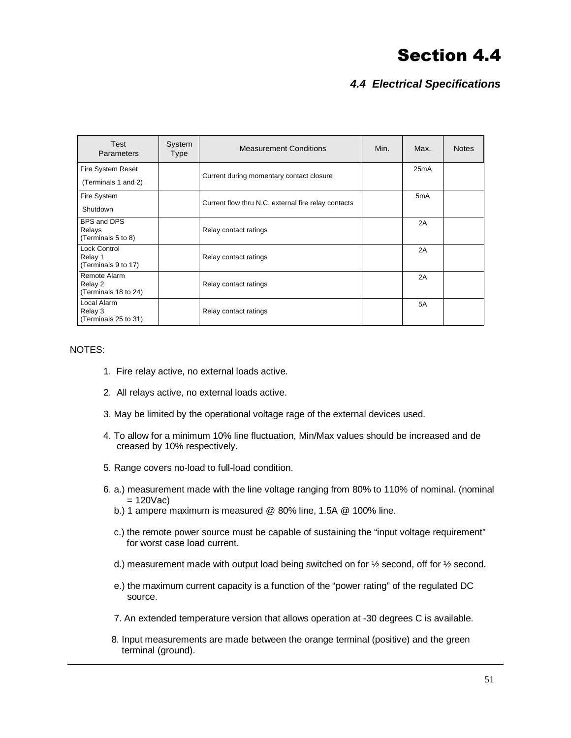### *4.4 Electrical Specifications*

| Test<br>Parameters              | System<br><b>Type</b> | <b>Measurement Conditions</b>                       | Min. | Max.             | <b>Notes</b> |
|---------------------------------|-----------------------|-----------------------------------------------------|------|------------------|--------------|
| Fire System Reset               |                       |                                                     |      | 25mA             |              |
| (Terminals 1 and 2)             |                       | Current during momentary contact closure            |      |                  |              |
| Fire System                     |                       |                                                     |      | 5 <sub>m</sub> A |              |
| Shutdown                        |                       | Current flow thru N.C. external fire relay contacts |      |                  |              |
| BPS and DPS                     |                       |                                                     |      | 2A               |              |
| Relays<br>(Terminals 5 to 8)    |                       | Relay contact ratings                               |      |                  |              |
| <b>Lock Control</b>             |                       |                                                     |      | 2A               |              |
| Relay 1<br>(Terminals 9 to 17)  |                       | Relay contact ratings                               |      |                  |              |
| Remote Alarm                    |                       |                                                     |      | 2A               |              |
| Relay 2<br>(Terminals 18 to 24) |                       | Relay contact ratings                               |      |                  |              |
| Local Alarm<br>Relay 3          |                       | Relay contact ratings                               |      | 5A               |              |
| (Terminals 25 to 31)            |                       |                                                     |      |                  |              |

#### NOTES:

- 1. Fire relay active, no external loads active.
- 2. All relays active, no external loads active.
- 3. May be limited by the operational voltage rage of the external devices used.
- 4. To allow for a minimum 10% line fluctuation, Min/Max values should be increased and de creased by 10% respectively.
- 5. Range covers no-load to full-load condition.
- 6. a.) measurement made with the line voltage ranging from 80% to 110% of nominal. (nominal  $= 120$ Vac)
	- b.) 1 ampere maximum is measured @ 80% line, 1.5A @ 100% line.
	- c.) the remote power source must be capable of sustaining the "input voltage requirement" for worst case load current.
	- d.) measurement made with output load being switched on for  $\frac{1}{2}$  second, off for  $\frac{1}{2}$  second.
	- e.) the maximum current capacity is a function of the "power rating" of the regulated DC source.
	- 7. An extended temperature version that allows operation at -30 degrees C is available.
	- 8. Input measurements are made between the orange terminal (positive) and the green terminal (ground).